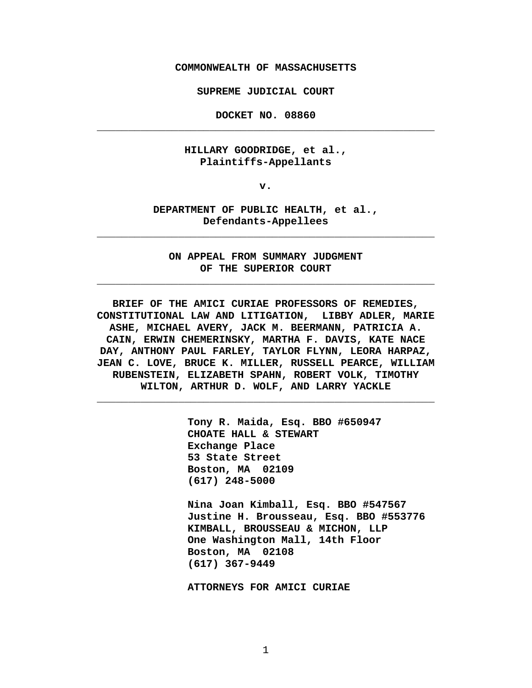**COMMONWEALTH OF MASSACHUSETTS**

**SUPREME JUDICIAL COURT** 

**DOCKET NO. 08860 \_\_\_\_\_\_\_\_\_\_\_\_\_\_\_\_\_\_\_\_\_\_\_\_\_\_\_\_\_\_\_\_\_\_\_\_\_\_\_\_\_\_\_\_\_\_\_\_\_\_\_\_\_\_** 

#### **HILLARY GOODRIDGE, et al., Plaintiffs-Appellants**

**v.**

#### **DEPARTMENT OF PUBLIC HEALTH, et al., Defendants-Appellees**

**\_\_\_\_\_\_\_\_\_\_\_\_\_\_\_\_\_\_\_\_\_\_\_\_\_\_\_\_\_\_\_\_\_\_\_\_\_\_\_\_\_\_\_\_\_\_\_\_\_\_\_\_\_\_** 

**ON APPEAL FROM SUMMARY JUDGMENT OF THE SUPERIOR COURT**

**\_\_\_\_\_\_\_\_\_\_\_\_\_\_\_\_\_\_\_\_\_\_\_\_\_\_\_\_\_\_\_\_\_\_\_\_\_\_\_\_\_\_\_\_\_\_\_\_\_\_\_\_\_\_** 

**BRIEF OF THE AMICI CURIAE PROFESSORS OF REMEDIES, CONSTITUTIONAL LAW AND LITIGATION, LIBBY ADLER, MARIE ASHE, MICHAEL AVERY, JACK M. BEERMANN, PATRICIA A. CAIN, ERWIN CHEMERINSKY, MARTHA F. DAVIS, KATE NACE DAY, ANTHONY PAUL FARLEY, TAYLOR FLYNN, LEORA HARPAZ, JEAN C. LOVE, BRUCE K. MILLER, RUSSELL PEARCE, WILLIAM RUBENSTEIN, ELIZABETH SPAHN, ROBERT VOLK, TIMOTHY WILTON, ARTHUR D. WOLF, AND LARRY YACKLE**

**\_\_\_\_\_\_\_\_\_\_\_\_\_\_\_\_\_\_\_\_\_\_\_\_\_\_\_\_\_\_\_\_\_\_\_\_\_\_\_\_\_\_\_\_\_\_\_\_\_\_\_\_\_\_** 

**Tony R. Maida, Esq. BBO #650947 CHOATE HALL & STEWART Exchange Place 53 State Street Boston, MA 02109 (617) 248-5000**

**Nina Joan Kimball, Esq. BBO #547567 Justine H. Brousseau, Esq. BBO #553776 KIMBALL, BROUSSEAU & MICHON, LLP One Washington Mall, 14th Floor Boston, MA 02108 (617) 367-9449**

**ATTORNEYS FOR AMICI CURIAE**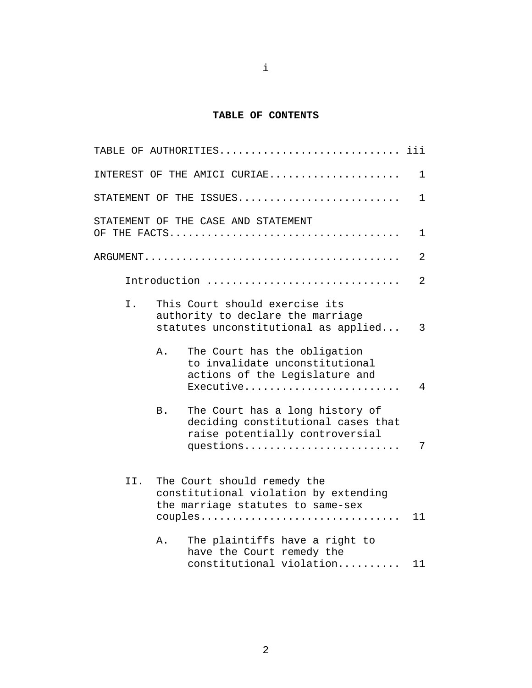### **TABLE OF CONTENTS**

|     | TABLE OF AUTHORITIES                                                                                                                | iii          |
|-----|-------------------------------------------------------------------------------------------------------------------------------------|--------------|
|     | INTEREST OF THE AMICI CURIAE                                                                                                        | 1            |
|     | STATEMENT OF THE ISSUES                                                                                                             | $\mathbf{1}$ |
|     | STATEMENT OF THE CASE AND STATEMENT                                                                                                 | 1            |
|     |                                                                                                                                     | 2            |
|     | Introduction                                                                                                                        | 2            |
| I.  | This Court should exercise its<br>authority to declare the marriage<br>statutes unconstitutional as applied                         | 3            |
|     | The Court has the obligation<br>Α.<br>to invalidate unconstitutional<br>actions of the Legislature and<br>Executive                 | 4            |
|     | The Court has a long history of<br><b>B</b> .<br>deciding constitutional cases that<br>raise potentially controversial<br>questions | 7            |
| II. | The Court should remedy the<br>constitutional violation by extending<br>the marriage statutes to same-sex<br>couples                | 11           |
|     | The plaintiffs have a right to<br>Α.<br>have the Court remedy the<br>constitutional violation                                       | 11           |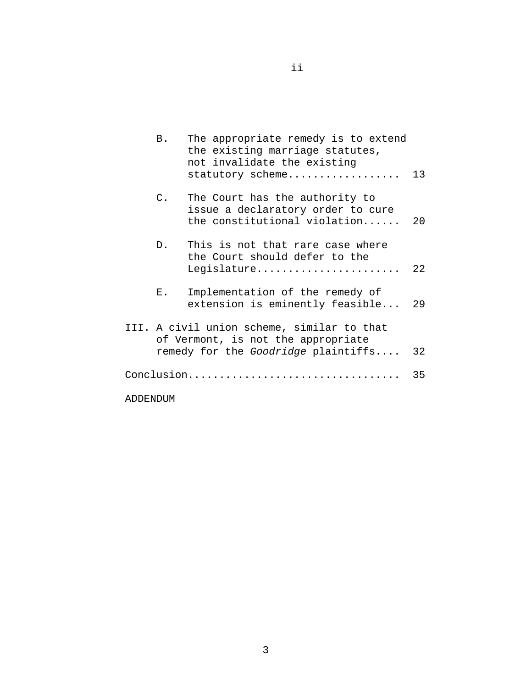|          | Β.              | The appropriate remedy is to extend<br>the existing marriage statutes,<br>not invalidate the existing<br>statutory scheme | 13   |
|----------|-----------------|---------------------------------------------------------------------------------------------------------------------------|------|
|          | $\mathcal{C}$ . | The Court has the authority to<br>issue a declaratory order to cure<br>the constitutional violation                       | 20   |
|          | D.              | This is not that rare case where<br>the Court should defer to the<br>Legislature                                          | 2.2. |
|          | $E_{\perp}$     | Implementation of the remedy of<br>extension is eminently feasible 29                                                     |      |
|          |                 | III. A civil union scheme, similar to that<br>of Vermont, is not the appropriate<br>remedy for the Goodridge plaintiffs   | 32   |
|          |                 | Conclusion                                                                                                                | 35   |
| ADDENDUM |                 |                                                                                                                           |      |

ii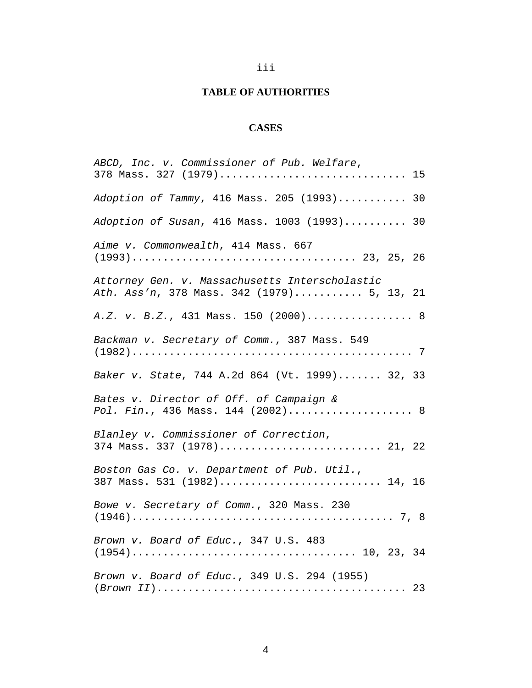# iii

# **TABLE OF AUTHORITIES**

# **CASES**

| ABCD, Inc. v. Commissioner of Pub. Welfare,<br>378 Mass. 327 (1979) 15                       |
|----------------------------------------------------------------------------------------------|
|                                                                                              |
| Adoption of Tammy, 416 Mass. 205 (1993) 30                                                   |
| Adoption of Susan, 416 Mass. 1003 (1993) 30                                                  |
| Aime v. Commonwealth, 414 Mass. 667                                                          |
| Attorney Gen. v. Massachusetts Interscholastic<br>Ath. Ass'n, 378 Mass. 342 (1979) 5, 13, 21 |
| A.Z. v. B.Z., 431 Mass. 150 (2000) 8                                                         |
| Backman v. Secretary of Comm., 387 Mass. 549                                                 |
| Baker v. State, 744 A.2d 864 (Vt. 1999) 32, 33                                               |
| Bates v. Director of Off. of Campaign &<br>Pol. Fin., 436 Mass. 144 (2002) 8                 |
| Blanley v. Commissioner of Correction,<br>374 Mass. 337 (1978) 21, 22                        |
| Boston Gas Co. v. Department of Pub. Util.,<br>387 Mass. 531 (1982) 14, 16                   |
| Bowe v. Secretary of Comm., 320 Mass. 230                                                    |
| Brown v. Board of Educ., 347 U.S. 483                                                        |
| Brown v. Board of Educ., 349 U.S. 294 (1955)                                                 |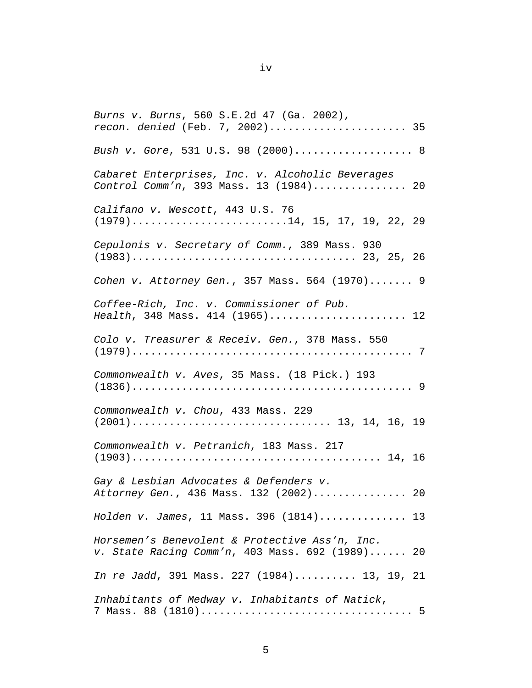*Burns v. Burns*, 560 S.E.2d 47 (Ga. 2002), *recon. denied* (Feb. 7, 2002)...................... 35 *Bush v. Gore*, 531 U.S. 98 (2000)................... 8 *Cabaret Enterprises, Inc. v. Alcoholic Beverages Control Comm'n*, 393 Mass. 13 (1984)............... 20 *Califano v. Wescott*, 443 U.S. 76  $(1979)$ ..........................14, 15, 17, 19, 22, 29 *Cepulonis v. Secretary of Comm.*, 389 Mass. 930 (1983).................................... 23, 25, 26 *Cohen v. Attorney Gen.*, 357 Mass. 564 (1970)....... 9 *Coffee-Rich, Inc. v. Commissioner of Pub. Health*, 348 Mass. 414 (1965)...................... 12 *Colo v. Treasurer & Receiv. Gen.*, 378 Mass. 550 (1979)............................................. 7 *Commonwealth v. Aves*, 35 Mass. (18 Pick.) 193 (1836)............................................. 9 *Commonwealth v. Chou*, 433 Mass. 229 (2001)................................ 13, 14, 16, 19 *Commonwealth v. Petranich*, 183 Mass. 217 (1903)........................................ 14, 16 *Gay & Lesbian Advocates & Defenders v. Attorney Gen.*, 436 Mass. 132 (2002)............... 20 *Holden v. James*, 11 Mass. 396 (1814).............. 13 *Horsemen's Benevolent & Protective Ass'n, Inc. v. State Racing Comm'n*, 403 Mass. 692 (1989)...... 20 *In re Jadd*, 391 Mass. 227 (1984).......... 13, 19, 21 *Inhabitants of Medway v. Inhabitants of Natick*, 7 Mass. 88 (1810).................................. 5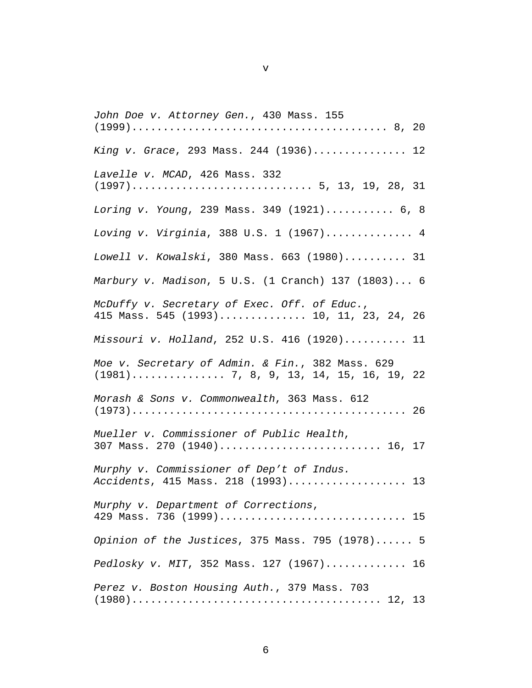*John Doe v. Attorney Gen.*, 430 Mass. 155 (1999)......................................... 8, 20 *King v. Grace*, 293 Mass. 244 (1936)............... 12 *Lavelle v. MCAD*, 426 Mass. 332 (1997)............................. 5, 13, 19, 28, 31 *Loring v. Young*, 239 Mass. 349 (1921)........... 6, 8 *Loving v. Virginia*, 388 U.S. 1 (1967).............. 4 *Lowell v. Kowalski*, 380 Mass. 663 (1980).......... 31 *Marbury v. Madison*, 5 U.S. (1 Cranch) 137 (1803)... 6 *McDuffy v. Secretary of Exec. Off. of Educ.*, 415 Mass. 545 (1993).............. 10, 11, 23, 24, 26 *Missouri v. Holland*, 252 U.S. 416 (1920).......... 11 *Moe v. Secretary of Admin. & Fin.*, 382 Mass. 629 (1981)............... 7, 8, 9, 13, 14, 15, 16, 19, 22 *Morash & Sons v. Commonwealth*, 363 Mass. 612 (1973)............................................ 26 *Mueller v. Commissioner of Public Health*, 307 Mass. 270 (1940).......................... 16, 17 *Murphy v. Commissioner of Dep't of Indus. Accidents*, 415 Mass. 218 (1993)................... 13 *Murphy v. Department of Corrections*, 429 Mass. 736 (1999).............................. 15 *Opinion of the Justices*, 375 Mass. 795 (1978)...... 5 *Pedlosky v. MIT*, 352 Mass. 127 (1967)............. 16 *Perez v. Boston Housing Auth.*, 379 Mass. 703 (1980)........................................ 12, 13

v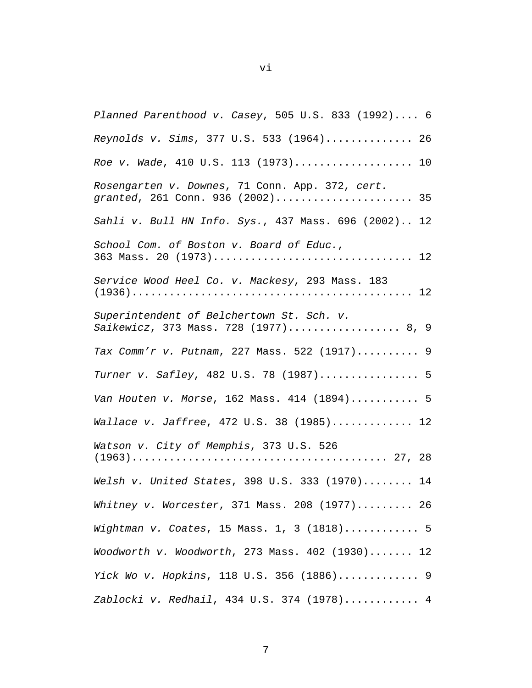| Planned Parenthood v. Casey, 505 U.S. 833 (1992) 6                                  |
|-------------------------------------------------------------------------------------|
| Reynolds v. Sims, 377 U.S. 533 (1964) 26                                            |
| Roe v. Wade, 410 U.S. 113 (1973) 10                                                 |
| Rosengarten v. Downes, 71 Conn. App. 372, cert.<br>granted, 261 Conn. 936 (2002) 35 |
| Sahli v. Bull HN Info. Sys., 437 Mass. 696 (2002) 12                                |
| School Com. of Boston v. Board of Educ.,<br>363 Mass. 20 (1973) 12                  |
| Service Wood Heel Co. v. Mackesy, 293 Mass. 183                                     |
| Superintendent of Belchertown St. Sch. v.<br>Saikewicz, 373 Mass. 728 (1977) 8, 9   |
| Tax Comm'r v. Putnam, 227 Mass. 522 (1917) 9                                        |
| Turner v. Safley, 482 U.S. 78 (1987) 5                                              |
| Van Houten v. Morse, 162 Mass. 414 (1894) 5                                         |
| Wallace v. Jaffree, 472 U.S. 38 (1985) 12                                           |
| Watson v. City of Memphis, 373 U.S. 526                                             |
| Welsh v. United States, 398 U.S. 333 (1970) 14                                      |
| Whitney v. Worcester, 371 Mass. 208 $(1977) \ldots \ldots$ 26                       |
| Wightman v. Coates, 15 Mass. 1, 3 (1818) 5                                          |
| Woodworth v. Woodworth, 273 Mass. $402$ (1930) 12                                   |
| Yick Wo v. Hopkins, 118 U.S. 356 (1886) 9                                           |
| Zablocki v. Redhail, 434 U.S. 374 (1978) 4                                          |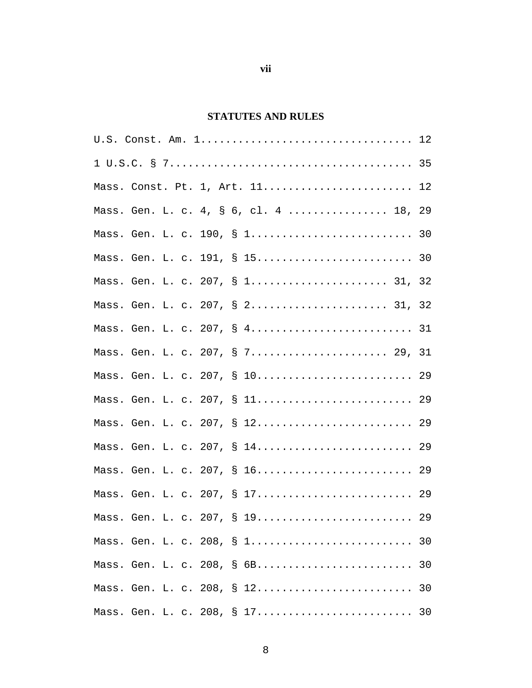## **STATUTES AND RULES**

| Mass. Const. Pt. 1, Art. 11 12         |
|----------------------------------------|
| Mass. Gen. L. c. 4, § 6, cl. 4  18, 29 |
| Mass. Gen. L. c. 190, § 1 30           |
|                                        |
| Mass. Gen. L. c. 207, § 1 31, 32       |
| Mass. Gen. L. c. 207, § 2 31, 32       |
| Mass. Gen. L. c. 207, § 4 31           |
| Mass. Gen. L. c. 207, § 7 29, 31       |
| Mass. Gen. L. c. 207, § 10 29          |
| Mass. Gen. L. c. 207, § 11 29          |
| Mass. Gen. L. c. 207, § 12 29          |
| Mass. Gen. L. c. 207, § 14 29          |
| Mass. Gen. L. c. 207, § 16 29          |
| Mass. Gen. L. c. 207, § 17 29          |
| Mass. Gen. L. c. 207, § 19 29          |
| Mass. Gen. L. c. 208, § 1 30           |
| Mass. Gen. L. c. 208, § 6B<br>30       |
|                                        |
| Mass. Gen. L. c. 208, § 17<br>30       |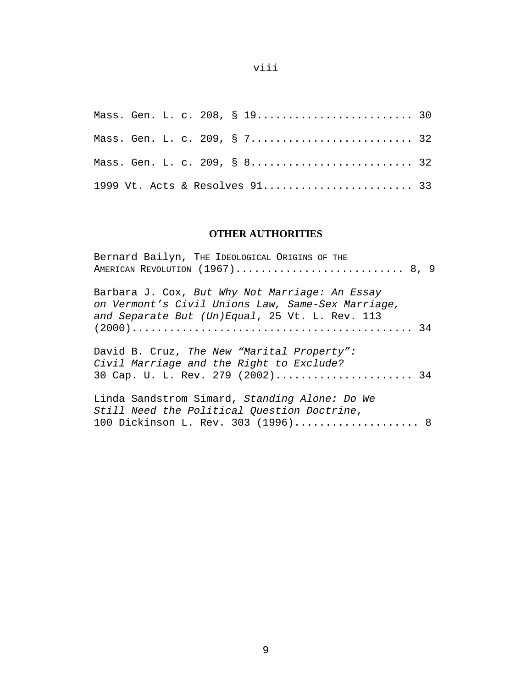Mass. Gen. L. c. 208, § 19............................... 30 Mass. Gen. L. c. 209, § 7............................... 32 Mass. Gen. L. c. 209, § 8............................... 32 1999 Vt. Acts & Resolves 91........................ 33

### **OTHER AUTHORITIES**

| Bernard Bailyn, THE IDEOLOGICAL ORIGINS OF THE                                                                                                        |
|-------------------------------------------------------------------------------------------------------------------------------------------------------|
| Barbara J. Cox, But Why Not Marriage: An Essay<br>on Vermont's Civil Unions Law, Same-Sex Marriage,<br>and Separate But (Un)Equal, 25 Vt. L. Rev. 113 |
| David B. Cruz, The New "Marital Property":<br>Civil Marriage and the Right to Exclude?<br>30 Cap. U. L. Rev. 279 (2002) 34                            |
| Linda Sandstrom Simard, Standing Alone: Do We<br>Still Need the Political Question Doctrine,<br>100 Dickinson L. Rev. 303 (1996) 8                    |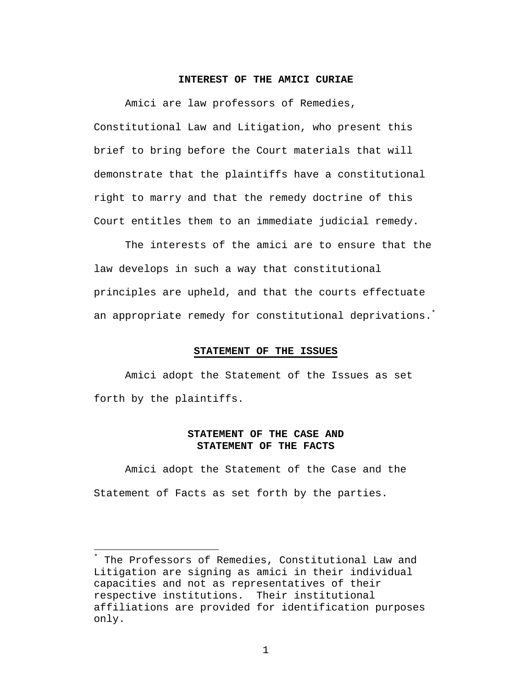#### **INTEREST OF THE AMICI CURIAE**

Amici are law professors of Remedies, Constitutional Law and Litigation, who present this brief to bring before the Court materials that will demonstrate that the plaintiffs have a constitutional right to marry and that the remedy doctrine of this Court entitles them to an immediate judicial remedy.

The interests of the amici are to ensure that the law develops in such a way that constitutional principles are upheld, and that the courts effectuate an appropriate remedy for constitutional deprivations.<sup>\*</sup>

#### **STATEMENT OF THE ISSUES**

Amici adopt the Statement of the Issues as set forth by the plaintiffs.

#### **STATEMENT OF THE CASE AND STATEMENT OF THE FACTS**

Amici adopt the Statement of the Case and the Statement of Facts as set forth by the parties.

 $\overline{a}$ 

The Professors of Remedies, Constitutional Law and Litigation are signing as amici in their individual capacities and not as representatives of their respective institutions. Their institutional affiliations are provided for identification purposes only.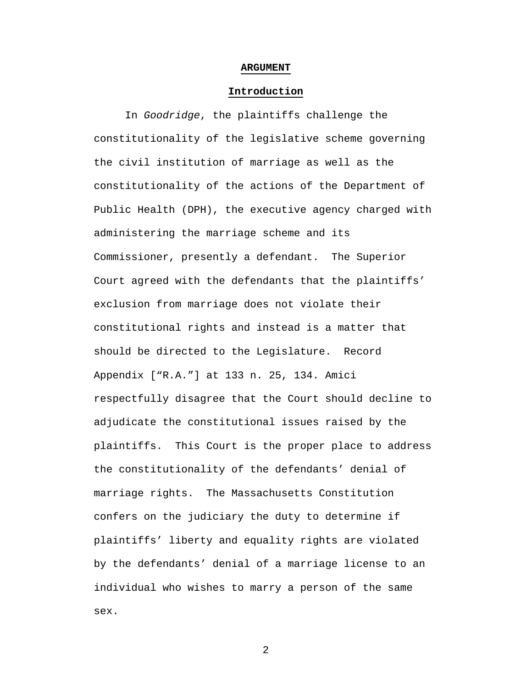#### **ARGUMENT**

#### **Introduction**

In *Goodridge*, the plaintiffs challenge the constitutionality of the legislative scheme governing the civil institution of marriage as well as the constitutionality of the actions of the Department of Public Health (DPH), the executive agency charged with administering the marriage scheme and its Commissioner, presently a defendant. The Superior Court agreed with the defendants that the plaintiffs' exclusion from marriage does not violate their constitutional rights and instead is a matter that should be directed to the Legislature. Record Appendix ["R.A."] at 133 n. 25, 134. Amici respectfully disagree that the Court should decline to adjudicate the constitutional issues raised by the plaintiffs. This Court is the proper place to address the constitutionality of the defendants' denial of marriage rights. The Massachusetts Constitution confers on the judiciary the duty to determine if plaintiffs' liberty and equality rights are violated by the defendants' denial of a marriage license to an individual who wishes to marry a person of the same sex.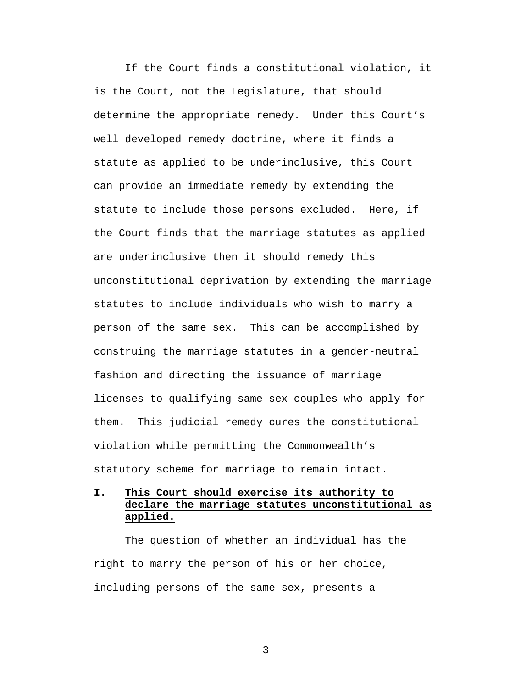If the Court finds a constitutional violation, it is the Court, not the Legislature, that should determine the appropriate remedy. Under this Court's well developed remedy doctrine, where it finds a statute as applied to be underinclusive, this Court can provide an immediate remedy by extending the statute to include those persons excluded. Here, if the Court finds that the marriage statutes as applied are underinclusive then it should remedy this unconstitutional deprivation by extending the marriage statutes to include individuals who wish to marry a person of the same sex. This can be accomplished by construing the marriage statutes in a gender-neutral fashion and directing the issuance of marriage licenses to qualifying same-sex couples who apply for them. This judicial remedy cures the constitutional violation while permitting the Commonwealth's statutory scheme for marriage to remain intact.

### **I. This Court should exercise its authority to declare the marriage statutes unconstitutional as applied.**

The question of whether an individual has the right to marry the person of his or her choice, including persons of the same sex, presents a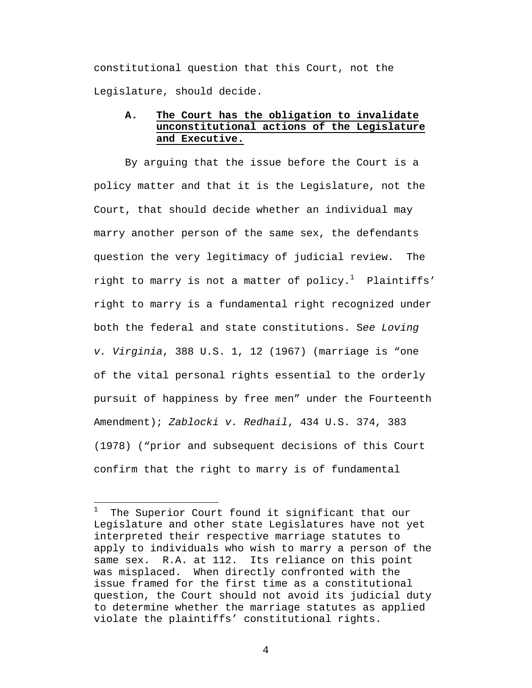constitutional question that this Court, not the Legislature, should decide.

### **A. The Court has the obligation to invalidate unconstitutional actions of the Legislature and Executive.**

By arguing that the issue before the Court is a policy matter and that it is the Legislature, not the Court, that should decide whether an individual may marry another person of the same sex, the defendants question the very legitimacy of judicial review. The right to marry is not a matter of policy.<sup>1</sup> Plaintiffs' right to marry is a fundamental right recognized under both the federal and state constitutions. S*ee Loving v. Virginia*, 388 U.S. 1, 12 (1967) (marriage is "one of the vital personal rights essential to the orderly pursuit of happiness by free men" under the Fourteenth Amendment); *Zablocki v. Redhail*, 434 U.S. 374, 383 (1978) ("prior and subsequent decisions of this Court confirm that the right to marry is of fundamental

 $\overline{a}$ 

 $1$  The Superior Court found it significant that our Legislature and other state Legislatures have not yet interpreted their respective marriage statutes to apply to individuals who wish to marry a person of the same sex. R.A. at 112. Its reliance on this point was misplaced. When directly confronted with the issue framed for the first time as a constitutional question, the Court should not avoid its judicial duty to determine whether the marriage statutes as applied violate the plaintiffs' constitutional rights.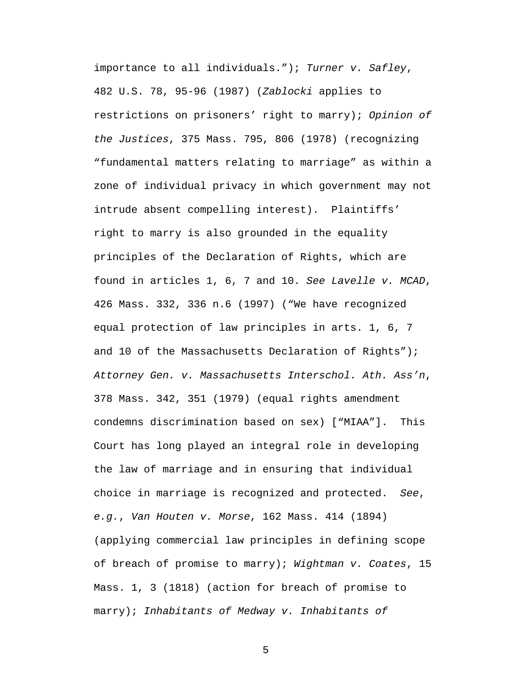importance to all individuals."); *Turner v. Safley*, 482 U.S. 78, 95-96 (1987) (*Zablocki* applies to restrictions on prisoners' right to marry); *Opinion of the Justices*, 375 Mass. 795, 806 (1978) (recognizing "fundamental matters relating to marriage" as within a zone of individual privacy in which government may not intrude absent compelling interest). Plaintiffs' right to marry is also grounded in the equality principles of the Declaration of Rights, which are found in articles 1, 6, 7 and 10. *See Lavelle v. MCAD*, 426 Mass. 332, 336 n.6 (1997) ("We have recognized equal protection of law principles in arts. 1, 6, 7 and 10 of the Massachusetts Declaration of Rights"); *Attorney Gen. v. Massachusetts Interschol. Ath. Ass'n*, 378 Mass. 342, 351 (1979) (equal rights amendment condemns discrimination based on sex) ["MIAA"]. This Court has long played an integral role in developing the law of marriage and in ensuring that individual choice in marriage is recognized and protected. *See*, *e.g.*, *Van Houten v. Morse*, 162 Mass. 414 (1894) (applying commercial law principles in defining scope of breach of promise to marry); *Wightman v. Coates*, 15 Mass. 1, 3 (1818) (action for breach of promise to marry); *Inhabitants of Medway v. Inhabitants of*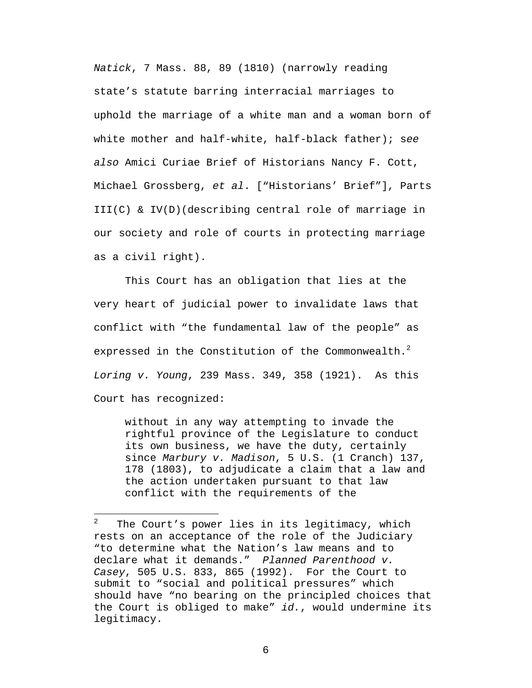*Natick*, 7 Mass. 88, 89 (1810) (narrowly reading state's statute barring interracial marriages to uphold the marriage of a white man and a woman born of white mother and half-white, half-black father); s*ee also* Amici Curiae Brief of Historians Nancy F. Cott, Michael Grossberg, *et al*. ["Historians' Brief"], Parts III(C) & IV(D)(describing central role of marriage in our society and role of courts in protecting marriage as a civil right).

This Court has an obligation that lies at the very heart of judicial power to invalidate laws that conflict with "the fundamental law of the people" as expressed in the Constitution of the Commonwealth.<sup>2</sup> *Loring v. Young*, 239 Mass. 349, 358 (1921). As this Court has recognized:

without in any way attempting to invade the rightful province of the Legislature to conduct its own business, we have the duty, certainly since *Marbury v. Madison*, 5 U.S. (1 Cranch) 137, 178 (1803), to adjudicate a claim that a law and the action undertaken pursuant to that law conflict with the requirements of the

 $\overline{a}$ 

 $2$  The Court's power lies in its legitimacy, which rests on an acceptance of the role of the Judiciary "to determine what the Nation's law means and to declare what it demands." *Planned Parenthood v. Casey*, 505 U.S. 833, 865 (1992). For the Court to submit to "social and political pressures" which should have "no bearing on the principled choices that the Court is obliged to make" *id.*, would undermine its legitimacy.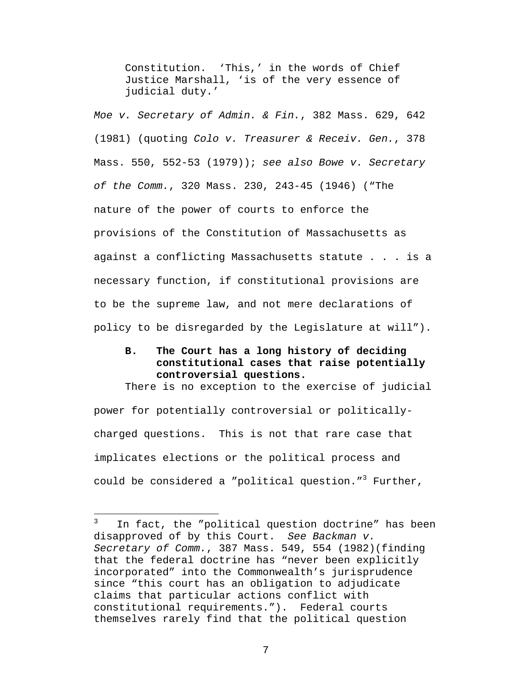Constitution. 'This,' in the words of Chief Justice Marshall, 'is of the very essence of judicial duty.'

*Moe v. Secretary of Admin. & Fin.*, 382 Mass. 629, 642 (1981) (quoting *Colo v. Treasurer & Receiv. Gen.*, 378 Mass. 550, 552-53 (1979)); *see also Bowe v. Secretary of the Comm.*, 320 Mass. 230, 243-45 (1946) ("The nature of the power of courts to enforce the provisions of the Constitution of Massachusetts as against a conflicting Massachusetts statute . . . is a necessary function, if constitutional provisions are to be the supreme law, and not mere declarations of policy to be disregarded by the Legislature at will").

### **B. The Court has a long history of deciding constitutional cases that raise potentially controversial questions.**

There is no exception to the exercise of judicial power for potentially controversial or politicallycharged questions. This is not that rare case that implicates elections or the political process and could be considered a "political question."<sup>3</sup> Further,

 $\overline{a}$ 

 $3$  In fact, the "political question doctrine" has been disapproved of by this Court. *See Backman v. Secretary of Comm.*, 387 Mass. 549, 554 (1982)(finding that the federal doctrine has "never been explicitly incorporated" into the Commonwealth's jurisprudence since "this court has an obligation to adjudicate claims that particular actions conflict with constitutional requirements."). Federal courts themselves rarely find that the political question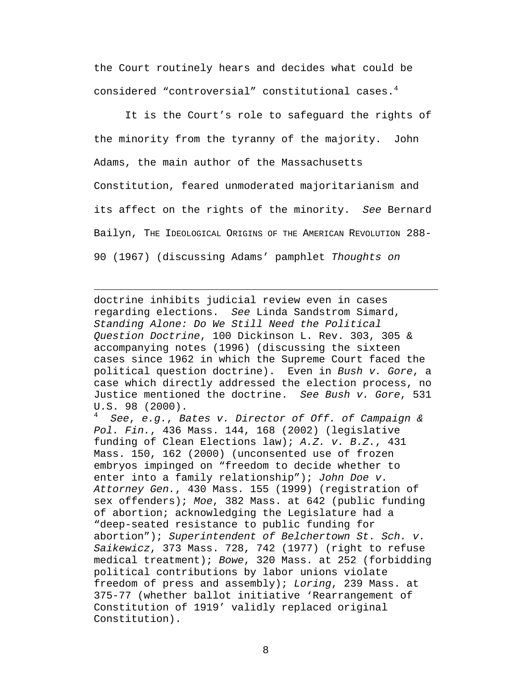the Court routinely hears and decides what could be considered "controversial" constitutional cases.<sup>4</sup>

It is the Court's role to safeguard the rights of the minority from the tyranny of the majority. John Adams, the main author of the Massachusetts Constitution, feared unmoderated majoritarianism and its affect on the rights of the minority. *See* Bernard Bailyn, THE IDEOLOGICAL ORIGINS OF THE AMERICAN REVOLUTION 288- 90 (1967) (discussing Adams' pamphlet *Thoughts on* 

doctrine inhibits judicial review even in cases regarding elections. *See* Linda Sandstrom Simard, *Standing Alone: Do We Still Need the Political Question Doctrine*, 100 Dickinson L. Rev. 303, 305 & accompanying notes (1996) (discussing the sixteen cases since 1962 in which the Supreme Court faced the political question doctrine). Even in *Bush v. Gore*, a case which directly addressed the election process, no Justice mentioned the doctrine. *See Bush v. Gore*, 531 U.S. 98 (2000).

 $\overline{a}$ 

<sup>4</sup> *See*, *e.g.*, *Bates v. Director of Off. of Campaign & Pol. Fin.*, 436 Mass. 144, 168 (2002) (legislative funding of Clean Elections law); *A.Z. v. B.Z.*, 431 Mass. 150, 162 (2000) (unconsented use of frozen embryos impinged on "freedom to decide whether to enter into a family relationship"); *John Doe v. Attorney Gen.*, 430 Mass. 155 (1999) (registration of sex offenders); *Moe*, 382 Mass. at 642 (public funding of abortion; acknowledging the Legislature had a "deep-seated resistance to public funding for abortion"); *Superintendent of Belchertown St. Sch. v. Saikewicz*, 373 Mass. 728, 742 (1977) (right to refuse medical treatment); *Bowe*, 320 Mass. at 252 (forbidding political contributions by labor unions violate freedom of press and assembly); *Loring*, 239 Mass. at 375-77 (whether ballot initiative 'Rearrangement of Constitution of 1919' validly replaced original Constitution).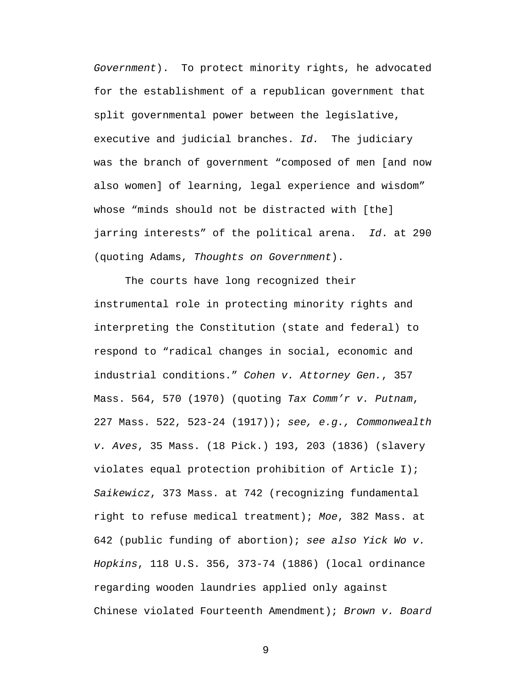*Government*). To protect minority rights, he advocated for the establishment of a republican government that split governmental power between the legislative, executive and judicial branches. *Id.* The judiciary was the branch of government "composed of men [and now also women] of learning, legal experience and wisdom" whose "minds should not be distracted with [the] jarring interests" of the political arena. *Id*. at 290 (quoting Adams, *Thoughts on Government*).

The courts have long recognized their instrumental role in protecting minority rights and interpreting the Constitution (state and federal) to respond to "radical changes in social, economic and industrial conditions." *Cohen v. Attorney Gen.*, 357 Mass. 564, 570 (1970) (quoting *Tax Comm'r v. Putnam*, 227 Mass. 522, 523-24 (1917)); *see, e.g., Commonwealth v. Aves*, 35 Mass. (18 Pick.) 193, 203 (1836) (slavery violates equal protection prohibition of Article I); *Saikewicz*, 373 Mass. at 742 (recognizing fundamental right to refuse medical treatment); *Moe*, 382 Mass. at 642 (public funding of abortion); *see also Yick Wo v. Hopkins*, 118 U.S. 356, 373-74 (1886) (local ordinance regarding wooden laundries applied only against Chinese violated Fourteenth Amendment); *Brown v. Board*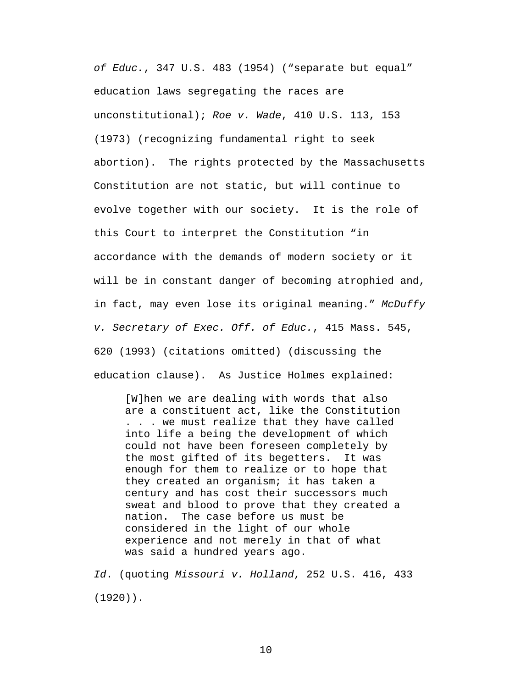*of Educ.*, 347 U.S. 483 (1954) ("separate but equal" education laws segregating the races are unconstitutional); *Roe v. Wade*, 410 U.S. 113, 153 (1973) (recognizing fundamental right to seek abortion). The rights protected by the Massachusetts Constitution are not static, but will continue to evolve together with our society. It is the role of this Court to interpret the Constitution "in accordance with the demands of modern society or it will be in constant danger of becoming atrophied and, in fact, may even lose its original meaning." *McDuffy v. Secretary of Exec. Off. of Educ.*, 415 Mass. 545, 620 (1993) (citations omitted) (discussing the education clause). As Justice Holmes explained:

[W]hen we are dealing with words that also are a constituent act, like the Constitution . . . we must realize that they have called into life a being the development of which could not have been foreseen completely by the most gifted of its begetters. It was enough for them to realize or to hope that they created an organism; it has taken a century and has cost their successors much sweat and blood to prove that they created a nation. The case before us must be considered in the light of our whole experience and not merely in that of what was said a hundred years ago.

*Id*. (quoting *Missouri v. Holland*, 252 U.S. 416, 433 (1920)).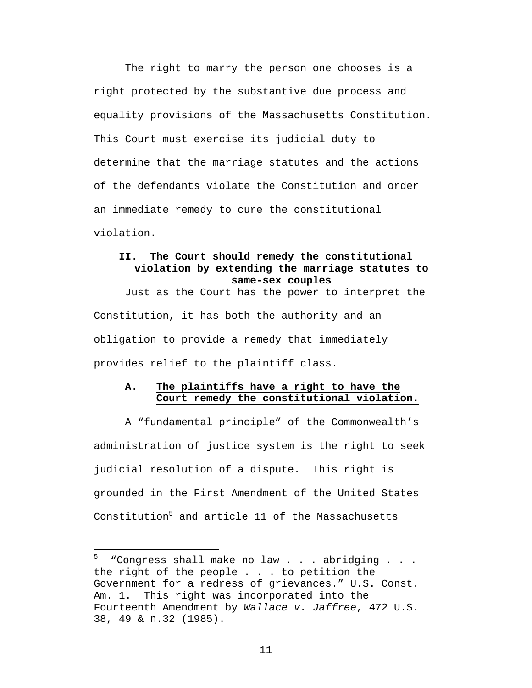The right to marry the person one chooses is a right protected by the substantive due process and equality provisions of the Massachusetts Constitution. This Court must exercise its judicial duty to determine that the marriage statutes and the actions of the defendants violate the Constitution and order an immediate remedy to cure the constitutional violation.

### **II. The Court should remedy the constitutional violation by extending the marriage statutes to same-sex couples**

Just as the Court has the power to interpret the Constitution, it has both the authority and an obligation to provide a remedy that immediately provides relief to the plaintiff class.

### **A. The plaintiffs have a right to have the Court remedy the constitutional violation.**

A "fundamental principle" of the Commonwealth's administration of justice system is the right to seek judicial resolution of a dispute. This right is grounded in the First Amendment of the United States Constitution<sup>5</sup> and article 11 of the Massachusetts

 $\overline{a}$ 

<sup>&</sup>quot;Congress shall make no law . . . abridging . . . the right of the people . . . to petition the Government for a redress of grievances." U.S. Const. Am. 1. This right was incorporated into the Fourteenth Amendment by *Wallace v. Jaffree*, 472 U.S. 38, 49 & n.32 (1985).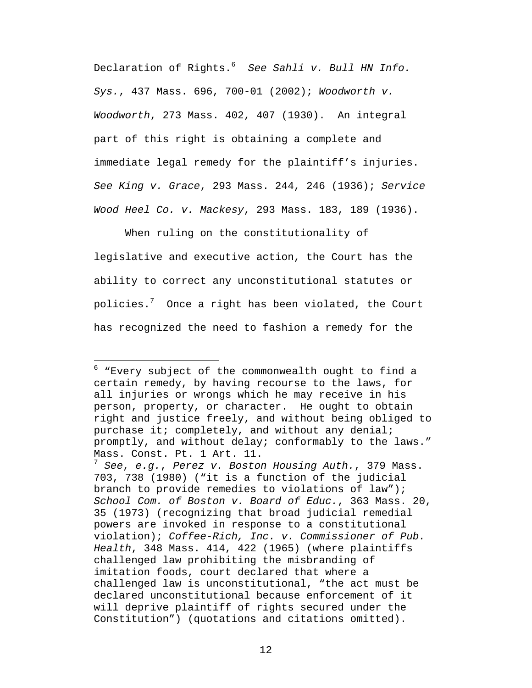Declaration of Rights.<sup>6</sup> *See Sahli v. Bull HN Info. Sys.*, 437 Mass. 696, 700-01 (2002); *Woodworth v. Woodworth*, 273 Mass. 402, 407 (1930). An integral part of this right is obtaining a complete and immediate legal remedy for the plaintiff's injuries. *See King v. Grace*, 293 Mass. 244, 246 (1936); *Service Wood Heel Co. v. Mackesy*, 293 Mass. 183, 189 (1936).

When ruling on the constitutionality of legislative and executive action, the Court has the ability to correct any unconstitutional statutes or policies. $7$  Once a right has been violated, the Court has recognized the need to fashion a remedy for the

<sup>&</sup>lt;sup>6</sup> "Every subject of the commonwealth ought to find a certain remedy, by having recourse to the laws, for all injuries or wrongs which he may receive in his person, property, or character. He ought to obtain right and justice freely, and without being obliged to purchase it; completely, and without any denial; promptly, and without delay; conformably to the laws." Mass. Const. Pt. 1 Art. 11. <sup>7</sup> *See*, *e.g.*, *Perez v. Boston Housing Auth.*, 379 Mass. 703, 738 (1980) ("it is a function of the judicial branch to provide remedies to violations of law"); *School Com. of Boston v. Board of Educ.*, 363 Mass. 20, 35 (1973) (recognizing that broad judicial remedial powers are invoked in response to a constitutional violation); *Coffee-Rich, Inc. v. Commissioner of Pub. Health*, 348 Mass. 414, 422 (1965) (where plaintiffs challenged law prohibiting the misbranding of imitation foods, court declared that where a challenged law is unconstitutional, "the act must be declared unconstitutional because enforcement of it will deprive plaintiff of rights secured under the Constitution") (quotations and citations omitted).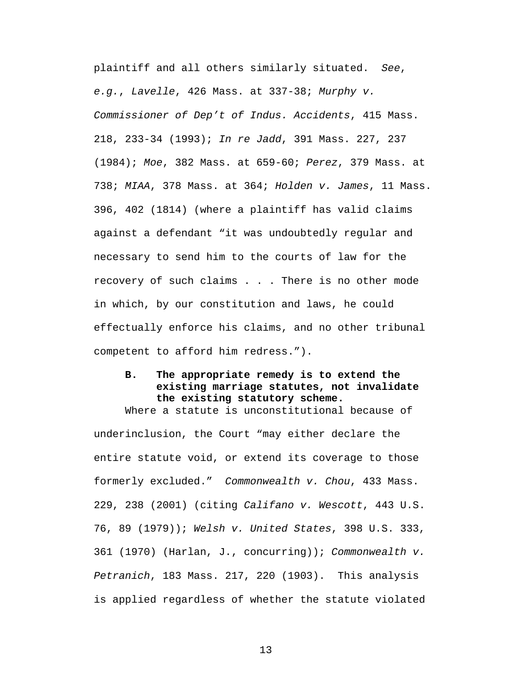plaintiff and all others similarly situated. *See*, *e.g.*, *Lavelle*, 426 Mass. at 337-38; *Murphy v. Commissioner of Dep't of Indus. Accidents*, 415 Mass. 218, 233-34 (1993); *In re Jadd*, 391 Mass. 227, 237 (1984); *Moe*, 382 Mass. at 659-60; *Perez*, 379 Mass. at 738; *MIAA*, 378 Mass. at 364; *Holden v. James*, 11 Mass. 396, 402 (1814) (where a plaintiff has valid claims against a defendant "it was undoubtedly regular and necessary to send him to the courts of law for the recovery of such claims . . . There is no other mode in which, by our constitution and laws, he could effectually enforce his claims, and no other tribunal competent to afford him redress.").

#### **B. The appropriate remedy is to extend the existing marriage statutes, not invalidate the existing statutory scheme.** Where a statute is unconstitutional because of

underinclusion, the Court "may either declare the entire statute void, or extend its coverage to those formerly excluded." *Commonwealth v. Chou*, 433 Mass. 229, 238 (2001) (citing *Califano v. Wescott*, 443 U.S. 76, 89 (1979)); *Welsh v. United States*, 398 U.S. 333, 361 (1970) (Harlan, J., concurring)); *Commonwealth v. Petranich*, 183 Mass. 217, 220 (1903). This analysis is applied regardless of whether the statute violated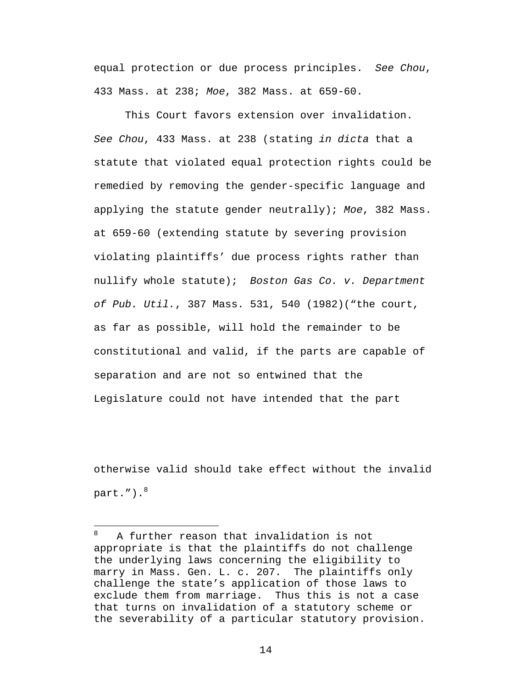equal protection or due process principles. *See Chou*, 433 Mass. at 238; *Moe*, 382 Mass. at 659-60.

This Court favors extension over invalidation. *See Chou*, 433 Mass. at 238 (stating *in dicta* that a statute that violated equal protection rights could be remedied by removing the gender-specific language and applying the statute gender neutrally); *Moe*, 382 Mass. at 659-60 (extending statute by severing provision violating plaintiffs' due process rights rather than nullify whole statute); *Boston Gas Co. v. Department of Pub. Util.*, 387 Mass. 531, 540 (1982)("the court, as far as possible, will hold the remainder to be constitutional and valid, if the parts are capable of separation and are not so entwined that the Legislature could not have intended that the part

otherwise valid should take effect without the invalid part."). $8$ 

 $\overline{a}$ 

<sup>8</sup> A further reason that invalidation is not appropriate is that the plaintiffs do not challenge the underlying laws concerning the eligibility to marry in Mass. Gen. L. c. 207. The plaintiffs only challenge the state's application of those laws to exclude them from marriage. Thus this is not a case that turns on invalidation of a statutory scheme or the severability of a particular statutory provision.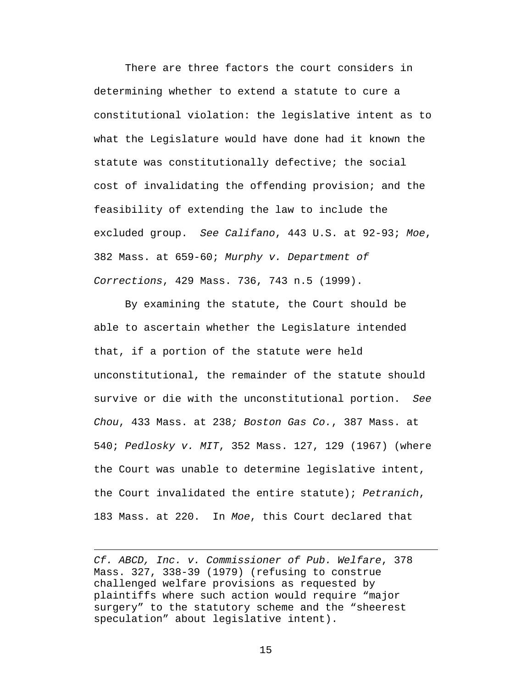There are three factors the court considers in determining whether to extend a statute to cure a constitutional violation: the legislative intent as to what the Legislature would have done had it known the statute was constitutionally defective; the social cost of invalidating the offending provision; and the feasibility of extending the law to include the excluded group. *See Califano*, 443 U.S. at 92-93; *Moe*, 382 Mass. at 659-60; *Murphy v. Department of Corrections*, 429 Mass. 736, 743 n.5 (1999).

By examining the statute, the Court should be able to ascertain whether the Legislature intended that, if a portion of the statute were held unconstitutional, the remainder of the statute should survive or die with the unconstitutional portion. *See Chou*, 433 Mass. at 238*; Boston Gas Co.*, 387 Mass. at 540; *Pedlosky v. MIT*, 352 Mass. 127, 129 (1967) (where the Court was unable to determine legislative intent, the Court invalidated the entire statute); *Petranich*, 183 Mass. at 220. In *Moe*, this Court declared that

*Cf. ABCD, Inc. v. Commissioner of Pub. Welfare*, 378 Mass. 327, 338-39 (1979) (refusing to construe challenged welfare provisions as requested by plaintiffs where such action would require "major surgery" to the statutory scheme and the "sheerest speculation" about legislative intent).

1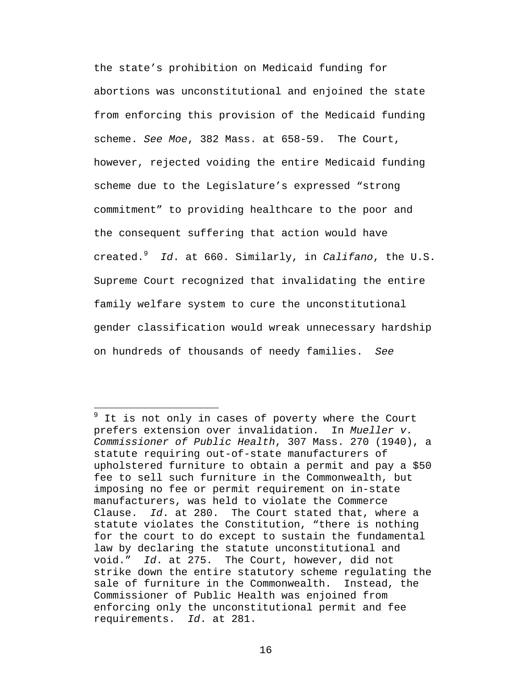the state's prohibition on Medicaid funding for abortions was unconstitutional and enjoined the state from enforcing this provision of the Medicaid funding scheme. *See Moe*, 382 Mass. at 658-59. The Court, however, rejected voiding the entire Medicaid funding scheme due to the Legislature's expressed "strong commitment" to providing healthcare to the poor and the consequent suffering that action would have created.<sup>9</sup> *Id*. at 660. Similarly, in *Califano*, the U.S. Supreme Court recognized that invalidating the entire family welfare system to cure the unconstitutional gender classification would wreak unnecessary hardship on hundreds of thousands of needy families. *See* 

 $\overline{a}$ 

 $9$  It is not only in cases of poverty where the Court prefers extension over invalidation. In *Mueller v. Commissioner of Public Health*, 307 Mass. 270 (1940), a statute requiring out-of-state manufacturers of upholstered furniture to obtain a permit and pay a \$50 fee to sell such furniture in the Commonwealth, but imposing no fee or permit requirement on in-state manufacturers, was held to violate the Commerce Clause. *Id*. at 280. The Court stated that, where a statute violates the Constitution, "there is nothing for the court to do except to sustain the fundamental law by declaring the statute unconstitutional and void." *Id*. at 275. The Court, however, did not strike down the entire statutory scheme regulating the sale of furniture in the Commonwealth. Instead, the Commissioner of Public Health was enjoined from enforcing only the unconstitutional permit and fee requirements. *Id*. at 281.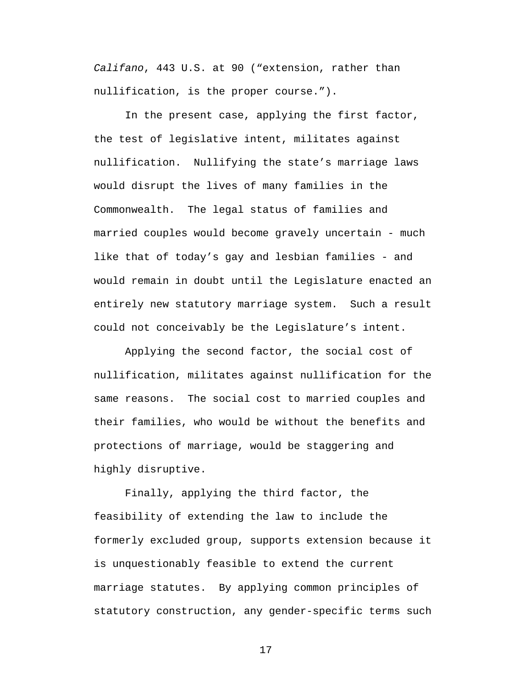*Califano*, 443 U.S. at 90 ("extension, rather than nullification, is the proper course.").

In the present case, applying the first factor, the test of legislative intent, militates against nullification. Nullifying the state's marriage laws would disrupt the lives of many families in the Commonwealth. The legal status of families and married couples would become gravely uncertain - much like that of today's gay and lesbian families - and would remain in doubt until the Legislature enacted an entirely new statutory marriage system. Such a result could not conceivably be the Legislature's intent.

Applying the second factor, the social cost of nullification, militates against nullification for the same reasons. The social cost to married couples and their families, who would be without the benefits and protections of marriage, would be staggering and highly disruptive.

Finally, applying the third factor, the feasibility of extending the law to include the formerly excluded group, supports extension because it is unquestionably feasible to extend the current marriage statutes. By applying common principles of statutory construction, any gender-specific terms such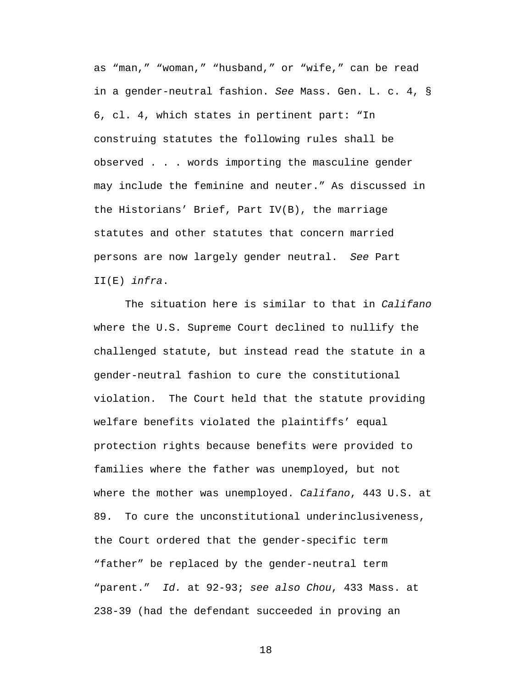as "man," "woman," "husband," or "wife," can be read in a gender-neutral fashion. *See* Mass. Gen. L. c. 4, § 6, cl. 4, which states in pertinent part: "In construing statutes the following rules shall be observed . . . words importing the masculine gender may include the feminine and neuter." As discussed in the Historians' Brief, Part IV(B), the marriage statutes and other statutes that concern married persons are now largely gender neutral. *See* Part II(E) *infra*.

The situation here is similar to that in *Califano* where the U.S. Supreme Court declined to nullify the challenged statute, but instead read the statute in a gender-neutral fashion to cure the constitutional violation. The Court held that the statute providing welfare benefits violated the plaintiffs' equal protection rights because benefits were provided to families where the father was unemployed, but not where the mother was unemployed. *Califano*, 443 U.S. at 89. To cure the unconstitutional underinclusiveness, the Court ordered that the gender-specific term "father" be replaced by the gender-neutral term "parent." *Id.* at 92-93; *see also Chou*, 433 Mass. at 238-39 (had the defendant succeeded in proving an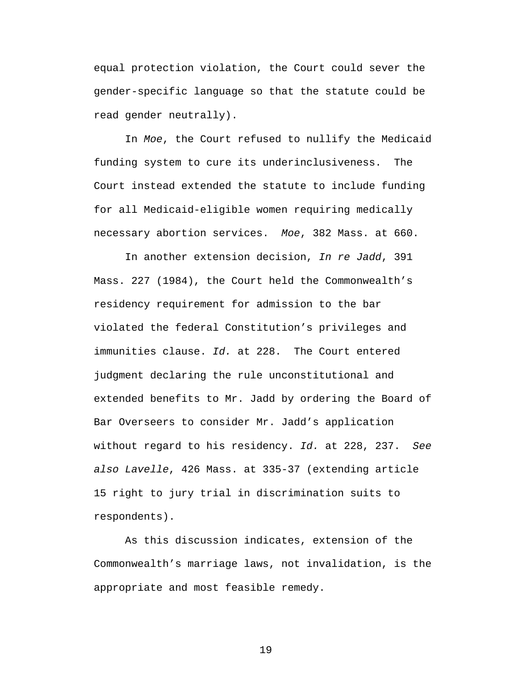equal protection violation, the Court could sever the gender-specific language so that the statute could be read gender neutrally).

In *Moe*, the Court refused to nullify the Medicaid funding system to cure its underinclusiveness. The Court instead extended the statute to include funding for all Medicaid-eligible women requiring medically necessary abortion services. *Moe*, 382 Mass. at 660.

In another extension decision, *In re Jadd*, 391 Mass. 227 (1984), the Court held the Commonwealth's residency requirement for admission to the bar violated the federal Constitution's privileges and immunities clause. *Id.* at 228. The Court entered judgment declaring the rule unconstitutional and extended benefits to Mr. Jadd by ordering the Board of Bar Overseers to consider Mr. Jadd's application without regard to his residency. *Id.* at 228, 237. *See also Lavelle*, 426 Mass. at 335-37 (extending article 15 right to jury trial in discrimination suits to respondents).

As this discussion indicates, extension of the Commonwealth's marriage laws, not invalidation, is the appropriate and most feasible remedy.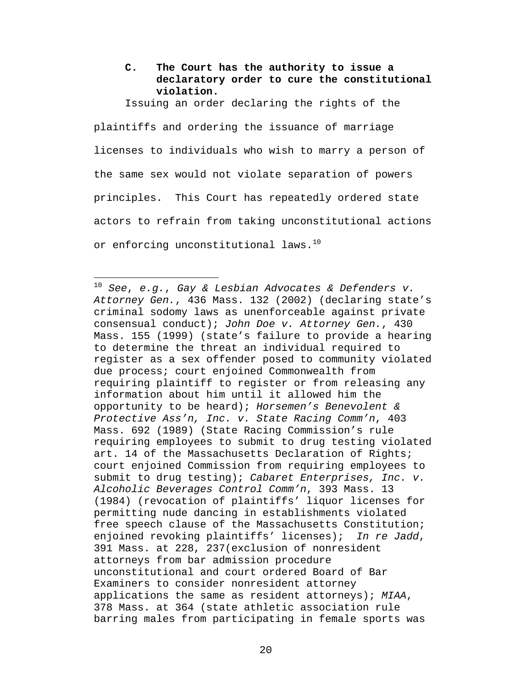**C. The Court has the authority to issue a declaratory order to cure the constitutional violation.**

Issuing an order declaring the rights of the

plaintiffs and ordering the issuance of marriage licenses to individuals who wish to marry a person of the same sex would not violate separation of powers principles. This Court has repeatedly ordered state actors to refrain from taking unconstitutional actions or enforcing unconstitutional laws.<sup>10</sup>

 $\overline{a}$ 

<sup>10</sup> *See*, *e.g.*, *Gay & Lesbian Advocates & Defenders v. Attorney Gen.*, 436 Mass. 132 (2002) (declaring state's criminal sodomy laws as unenforceable against private consensual conduct); *John Doe v. Attorney Gen.*, 430 Mass. 155 (1999) (state's failure to provide a hearing to determine the threat an individual required to register as a sex offender posed to community violated due process; court enjoined Commonwealth from requiring plaintiff to register or from releasing any information about him until it allowed him the opportunity to be heard); *Horsemen's Benevolent & Protective Ass'n, Inc. v. State Racing Comm'n*, 403 Mass. 692 (1989) (State Racing Commission's rule requiring employees to submit to drug testing violated art. 14 of the Massachusetts Declaration of Rights; court enjoined Commission from requiring employees to submit to drug testing); *Cabaret Enterprises, Inc. v. Alcoholic Beverages Control Comm'n*, 393 Mass. 13 (1984) (revocation of plaintiffs' liquor licenses for permitting nude dancing in establishments violated free speech clause of the Massachusetts Constitution; enjoined revoking plaintiffs' licenses); *In re Jadd*, 391 Mass. at 228, 237(exclusion of nonresident attorneys from bar admission procedure unconstitutional and court ordered Board of Bar Examiners to consider nonresident attorney applications the same as resident attorneys); *MIAA*, 378 Mass. at 364 (state athletic association rule barring males from participating in female sports was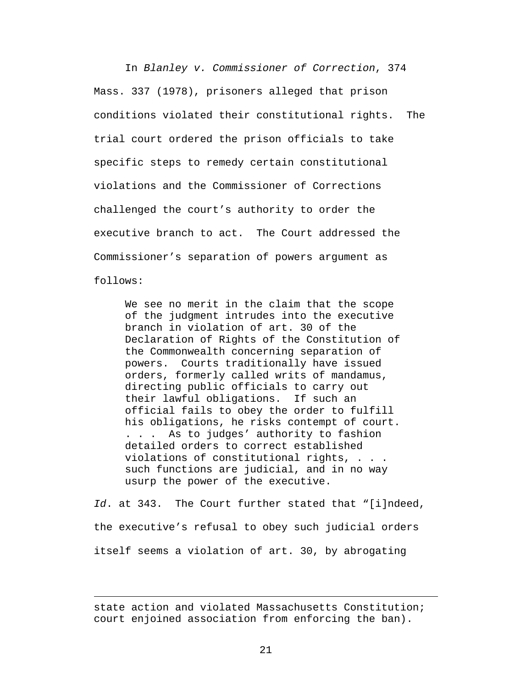In *Blanley v. Commissioner of Correction*, 374 Mass. 337 (1978), prisoners alleged that prison conditions violated their constitutional rights. The trial court ordered the prison officials to take specific steps to remedy certain constitutional violations and the Commissioner of Corrections challenged the court's authority to order the executive branch to act. The Court addressed the Commissioner's separation of powers argument as follows:

We see no merit in the claim that the scope of the judgment intrudes into the executive branch in violation of art. 30 of the Declaration of Rights of the Constitution of the Commonwealth concerning separation of powers. Courts traditionally have issued orders, formerly called writs of mandamus, directing public officials to carry out their lawful obligations. If such an official fails to obey the order to fulfill his obligations, he risks contempt of court. . . . As to judges' authority to fashion detailed orders to correct established violations of constitutional rights, . . . such functions are judicial, and in no way usurp the power of the executive.

*Id*. at 343. The Court further stated that "[i]ndeed, the executive's refusal to obey such judicial orders itself seems a violation of art. 30, by abrogating

state action and violated Massachusetts Constitution; court enjoined association from enforcing the ban).

1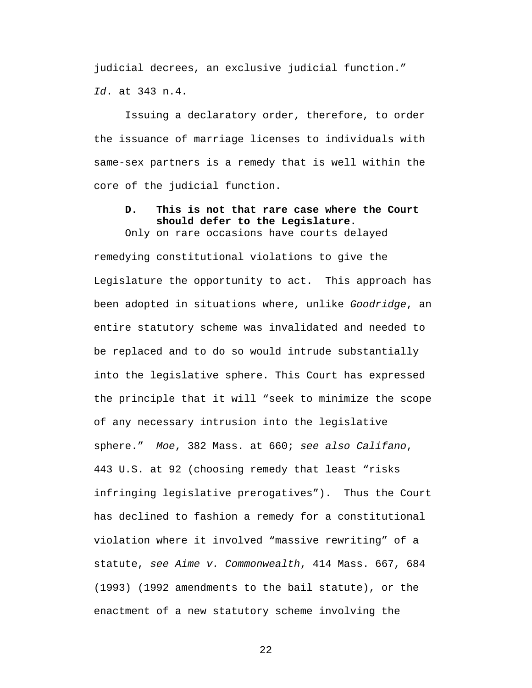judicial decrees, an exclusive judicial function." *Id*. at 343 n.4.

Issuing a declaratory order, therefore, to order the issuance of marriage licenses to individuals with same-sex partners is a remedy that is well within the core of the judicial function.

#### **D. This is not that rare case where the Court should defer to the Legislature.**  Only on rare occasions have courts delayed

remedying constitutional violations to give the Legislature the opportunity to act. This approach has been adopted in situations where, unlike *Goodridge*, an entire statutory scheme was invalidated and needed to be replaced and to do so would intrude substantially into the legislative sphere. This Court has expressed the principle that it will "seek to minimize the scope of any necessary intrusion into the legislative sphere." *Moe*, 382 Mass. at 660; *see also Califano*, 443 U.S. at 92 (choosing remedy that least "risks infringing legislative prerogatives"). Thus the Court has declined to fashion a remedy for a constitutional violation where it involved "massive rewriting" of a statute, *see Aime v. Commonwealth*, 414 Mass. 667, 684 (1993) (1992 amendments to the bail statute), or the enactment of a new statutory scheme involving the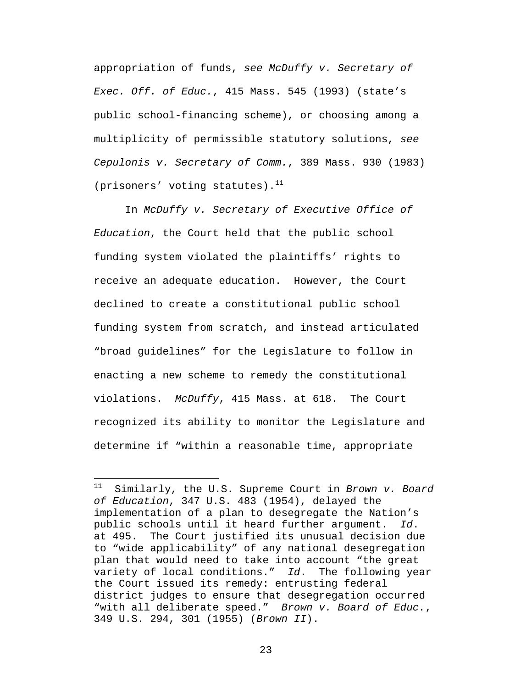appropriation of funds, *see McDuffy v. Secretary of Exec. Off. of Educ.*, 415 Mass. 545 (1993) (state's public school-financing scheme), or choosing among a multiplicity of permissible statutory solutions, *see Cepulonis v. Secretary of Comm.*, 389 Mass. 930 (1983) (prisoners' voting statutes).<sup>11</sup>

In *McDuffy v. Secretary of Executive Office of Education*, the Court held that the public school funding system violated the plaintiffs' rights to receive an adequate education. However, the Court declined to create a constitutional public school funding system from scratch, and instead articulated "broad guidelines" for the Legislature to follow in enacting a new scheme to remedy the constitutional violations. *McDuffy*, 415 Mass. at 618. The Court recognized its ability to monitor the Legislature and determine if "within a reasonable time, appropriate

 $11$ Similarly, the U.S. Supreme Court in *Brown v. Board of Education*, 347 U.S. 483 (1954), delayed the implementation of a plan to desegregate the Nation's public schools until it heard further argument. *Id*. at 495. The Court justified its unusual decision due to "wide applicability" of any national desegregation plan that would need to take into account "the great variety of local conditions." *Id*. The following year the Court issued its remedy: entrusting federal district judges to ensure that desegregation occurred "with all deliberate speed." *Brown v. Board of Educ.*, 349 U.S. 294, 301 (1955) (*Brown II*).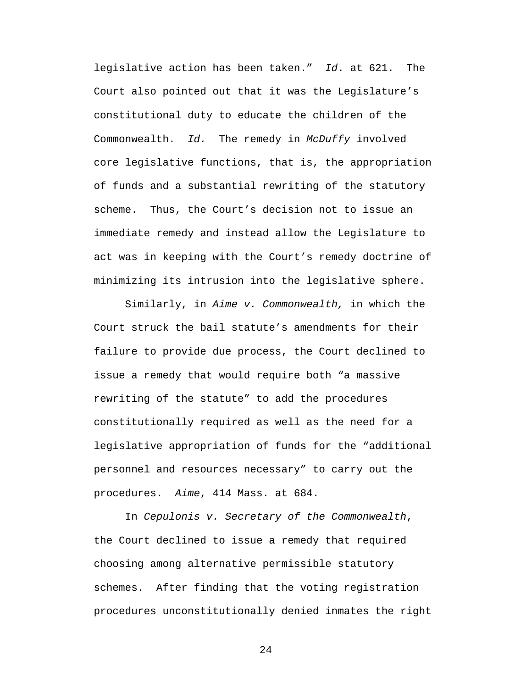legislative action has been taken." *Id*. at 621. The Court also pointed out that it was the Legislature's constitutional duty to educate the children of the Commonwealth. *Id.* The remedy in *McDuffy* involved core legislative functions, that is, the appropriation of funds and a substantial rewriting of the statutory scheme. Thus, the Court's decision not to issue an immediate remedy and instead allow the Legislature to act was in keeping with the Court's remedy doctrine of minimizing its intrusion into the legislative sphere.

Similarly, in *Aime v. Commonwealth,* in which the Court struck the bail statute's amendments for their failure to provide due process, the Court declined to issue a remedy that would require both "a massive rewriting of the statute" to add the procedures constitutionally required as well as the need for a legislative appropriation of funds for the "additional personnel and resources necessary" to carry out the procedures. *Aime*, 414 Mass. at 684.

In *Cepulonis v. Secretary of the Commonwealth*, the Court declined to issue a remedy that required choosing among alternative permissible statutory schemes. After finding that the voting registration procedures unconstitutionally denied inmates the right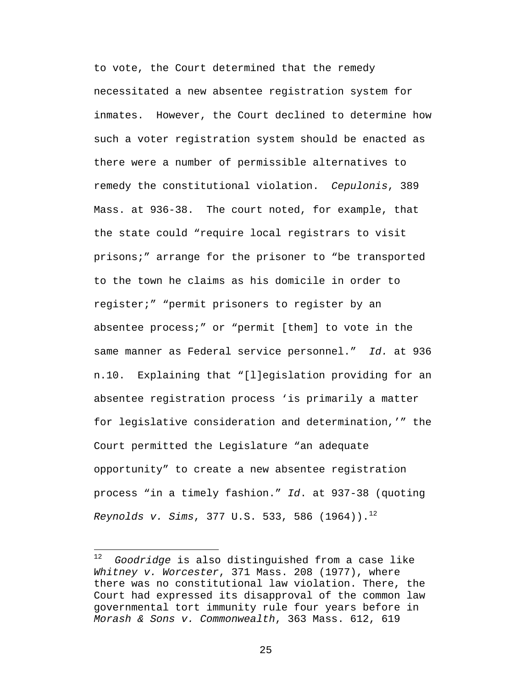to vote, the Court determined that the remedy necessitated a new absentee registration system for inmates. However, the Court declined to determine how such a voter registration system should be enacted as there were a number of permissible alternatives to remedy the constitutional violation. *Cepulonis*, 389 Mass. at 936-38. The court noted, for example, that the state could "require local registrars to visit prisons;" arrange for the prisoner to "be transported to the town he claims as his domicile in order to register;" "permit prisoners to register by an absentee process;" or "permit [them] to vote in the same manner as Federal service personnel." *Id.* at 936 n.10. Explaining that "[l]egislation providing for an absentee registration process 'is primarily a matter for legislative consideration and determination,'" the Court permitted the Legislature "an adequate opportunity" to create a new absentee registration process "in a timely fashion." *Id*. at 937-38 (quoting *Reynolds v. Sims,* 377 U.S. 533, 586 (1964)).<sup>12</sup>

1

<sup>12</sup> *Goodridge* is also distinguished from a case like *Whitney v. Worcester*, 371 Mass. 208 (1977), where there was no constitutional law violation. There, the Court had expressed its disapproval of the common law governmental tort immunity rule four years before in *Morash & Sons v. Commonwealth*, 363 Mass. 612, 619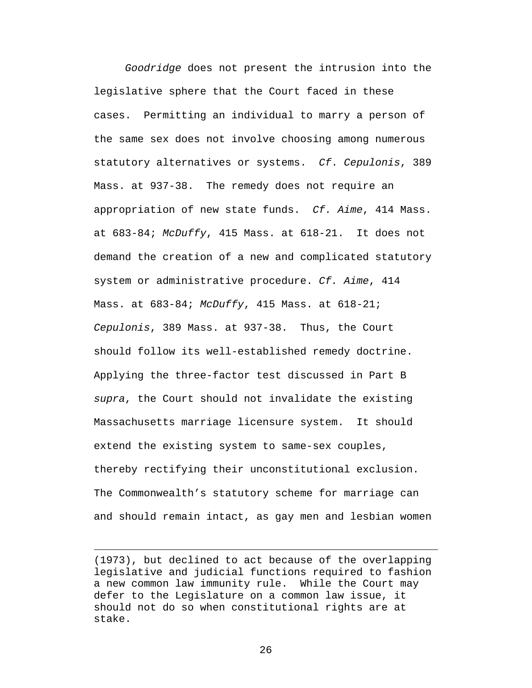*Goodridge* does not present the intrusion into the legislative sphere that the Court faced in these cases. Permitting an individual to marry a person of the same sex does not involve choosing among numerous statutory alternatives or systems. *Cf*. *Cepulonis*, 389 Mass. at 937-38. The remedy does not require an appropriation of new state funds. *Cf. Aime*, 414 Mass. at 683-84; *McDuffy*, 415 Mass. at 618-21. It does not demand the creation of a new and complicated statutory system or administrative procedure. *Cf. Aime*, 414 Mass. at 683-84; *McDuffy*, 415 Mass. at 618-21; *Cepulonis*, 389 Mass. at 937-38. Thus, the Court should follow its well-established remedy doctrine. Applying the three-factor test discussed in Part B *supra*, the Court should not invalidate the existing Massachusetts marriage licensure system. It should extend the existing system to same-sex couples, thereby rectifying their unconstitutional exclusion. The Commonwealth's statutory scheme for marriage can and should remain intact, as gay men and lesbian women

 $\overline{a}$ 

<sup>(1973),</sup> but declined to act because of the overlapping legislative and judicial functions required to fashion a new common law immunity rule. While the Court may defer to the Legislature on a common law issue, it should not do so when constitutional rights are at stake.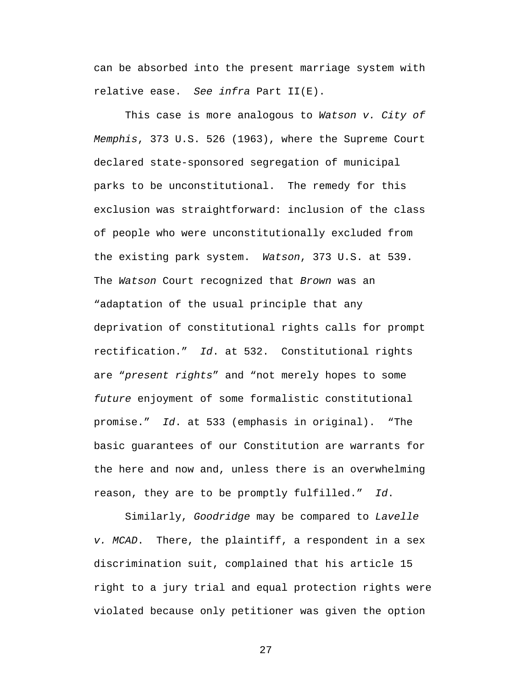can be absorbed into the present marriage system with relative ease. *See infra* Part II(E).

This case is more analogous to *Watson v. City of Memphis*, 373 U.S. 526 (1963), where the Supreme Court declared state-sponsored segregation of municipal parks to be unconstitutional. The remedy for this exclusion was straightforward: inclusion of the class of people who were unconstitutionally excluded from the existing park system. *Watson*, 373 U.S. at 539. The *Watson* Court recognized that *Brown* was an "adaptation of the usual principle that any deprivation of constitutional rights calls for prompt rectification." *Id*. at 532. Constitutional rights are "*present rights*" and "not merely hopes to some *future* enjoyment of some formalistic constitutional promise." *Id*. at 533 (emphasis in original). "The basic guarantees of our Constitution are warrants for the here and now and, unless there is an overwhelming reason, they are to be promptly fulfilled." *Id*.

Similarly, *Goodridge* may be compared to *Lavelle v. MCAD*. There, the plaintiff, a respondent in a sex discrimination suit, complained that his article 15 right to a jury trial and equal protection rights were violated because only petitioner was given the option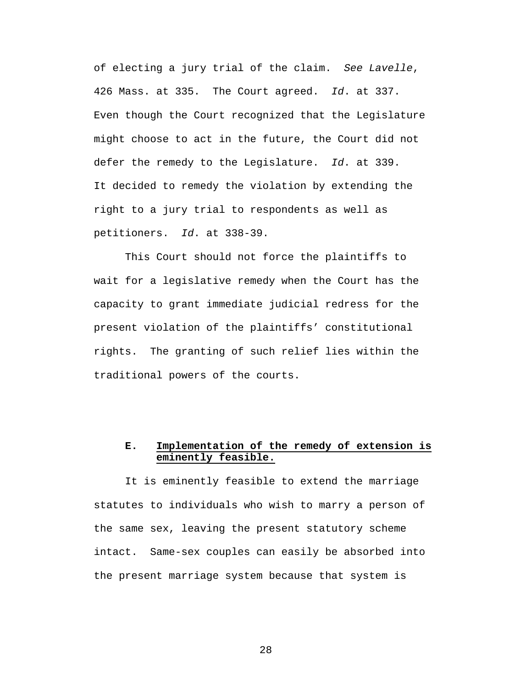of electing a jury trial of the claim. *See Lavelle*, 426 Mass. at 335. The Court agreed. *Id*. at 337. Even though the Court recognized that the Legislature might choose to act in the future, the Court did not defer the remedy to the Legislature. *Id*. at 339. It decided to remedy the violation by extending the right to a jury trial to respondents as well as petitioners. *Id*. at 338-39.

This Court should not force the plaintiffs to wait for a legislative remedy when the Court has the capacity to grant immediate judicial redress for the present violation of the plaintiffs' constitutional rights. The granting of such relief lies within the traditional powers of the courts.

### **E. Implementation of the remedy of extension is eminently feasible.**

It is eminently feasible to extend the marriage statutes to individuals who wish to marry a person of the same sex, leaving the present statutory scheme intact. Same-sex couples can easily be absorbed into the present marriage system because that system is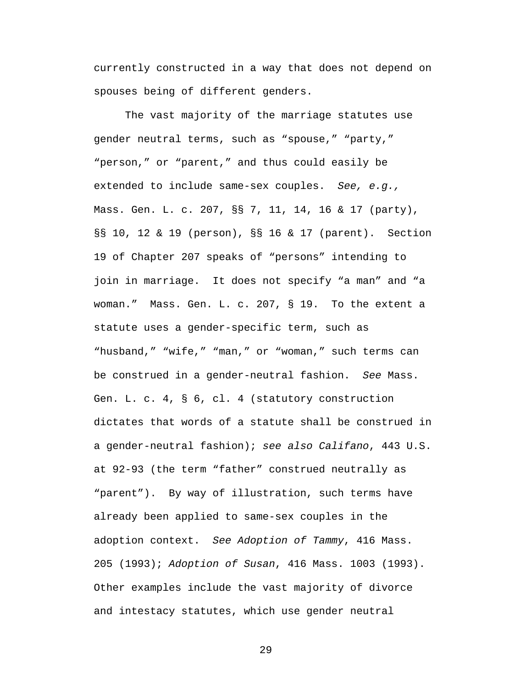currently constructed in a way that does not depend on spouses being of different genders.

The vast majority of the marriage statutes use gender neutral terms, such as "spouse," "party," "person," or "parent," and thus could easily be extended to include same-sex couples. *See, e.g.,* Mass. Gen. L. c. 207, §§ 7, 11, 14, 16 & 17 (party), §§ 10, 12 & 19 (person), §§ 16 & 17 (parent). Section 19 of Chapter 207 speaks of "persons" intending to join in marriage. It does not specify "a man" and "a woman." Mass. Gen. L. c. 207, § 19. To the extent a statute uses a gender-specific term, such as "husband," "wife," "man," or "woman," such terms can be construed in a gender-neutral fashion. *See* Mass. Gen. L. c. 4, § 6, cl. 4 (statutory construction dictates that words of a statute shall be construed in a gender-neutral fashion); *see also Califano*, 443 U.S. at 92-93 (the term "father" construed neutrally as "parent"). By way of illustration, such terms have already been applied to same-sex couples in the adoption context. *See Adoption of Tammy*, 416 Mass. 205 (1993); *Adoption of Susan*, 416 Mass. 1003 (1993). Other examples include the vast majority of divorce and intestacy statutes, which use gender neutral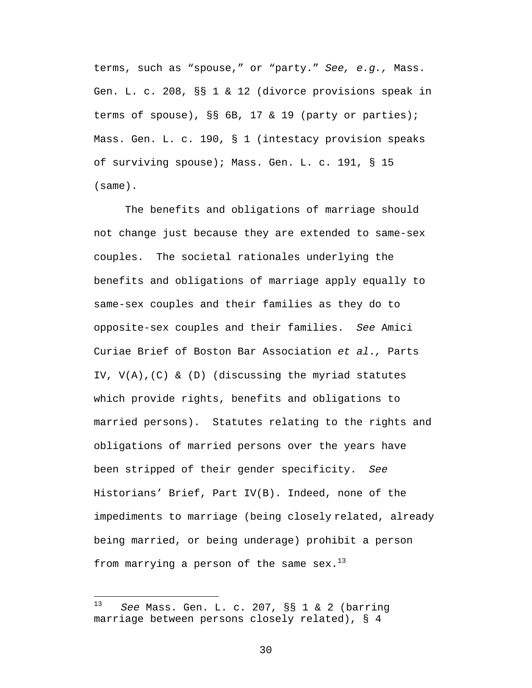terms, such as "spouse," or "party." *See, e.g.,* Mass. Gen. L. c. 208, §§ 1 & 12 (divorce provisions speak in terms of spouse), §§ 6B, 17 & 19 (party or parties); Mass. Gen. L. c. 190, § 1 (intestacy provision speaks of surviving spouse); Mass. Gen. L. c. 191, § 15 (same).

The benefits and obligations of marriage should not change just because they are extended to same-sex couples. The societal rationales underlying the benefits and obligations of marriage apply equally to same-sex couples and their families as they do to opposite-sex couples and their families. *See* Amici Curiae Brief of Boston Bar Association *et al*.*,* Parts IV, V(A),(C) & (D) (discussing the myriad statutes which provide rights, benefits and obligations to married persons). Statutes relating to the rights and obligations of married persons over the years have been stripped of their gender specificity. *See* Historians' Brief, Part IV(B). Indeed, none of the impediments to marriage (being closely related, already being married, or being underage) prohibit a person from marrying a person of the same sex. $^{13}$ 

1

<sup>13</sup> *See* Mass. Gen. L. c. 207, §§ 1 & 2 (barring marriage between persons closely related), § 4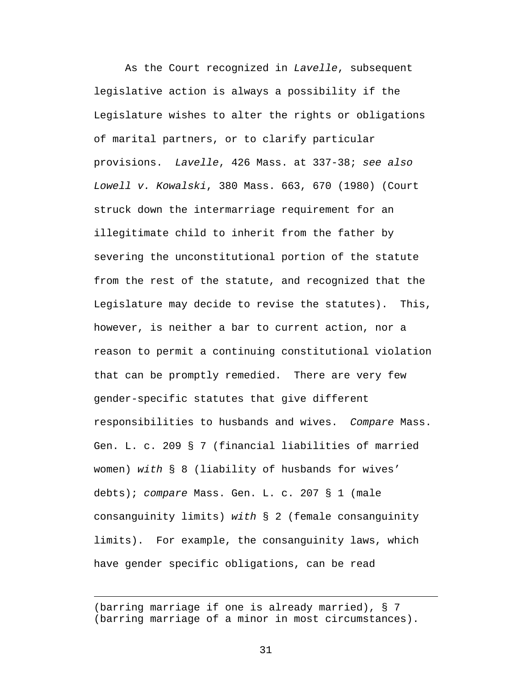As the Court recognized in *Lavelle*, subsequent legislative action is always a possibility if the Legislature wishes to alter the rights or obligations of marital partners, or to clarify particular provisions. *Lavelle*, 426 Mass. at 337-38; *see also Lowell v. Kowalski*, 380 Mass. 663, 670 (1980) (Court struck down the intermarriage requirement for an illegitimate child to inherit from the father by severing the unconstitutional portion of the statute from the rest of the statute, and recognized that the Legislature may decide to revise the statutes). This, however, is neither a bar to current action, nor a reason to permit a continuing constitutional violation that can be promptly remedied. There are very few gender-specific statutes that give different responsibilities to husbands and wives. *Compare* Mass. Gen. L. c. 209 § 7 (financial liabilities of married women) *with* § 8 (liability of husbands for wives' debts); *compare* Mass. Gen. L. c. 207 § 1 (male consanguinity limits) *with* § 2 (female consanguinity limits). For example, the consanguinity laws, which have gender specific obligations, can be read

(barring marriage if one is already married), § 7 (barring marriage of a minor in most circumstances).

1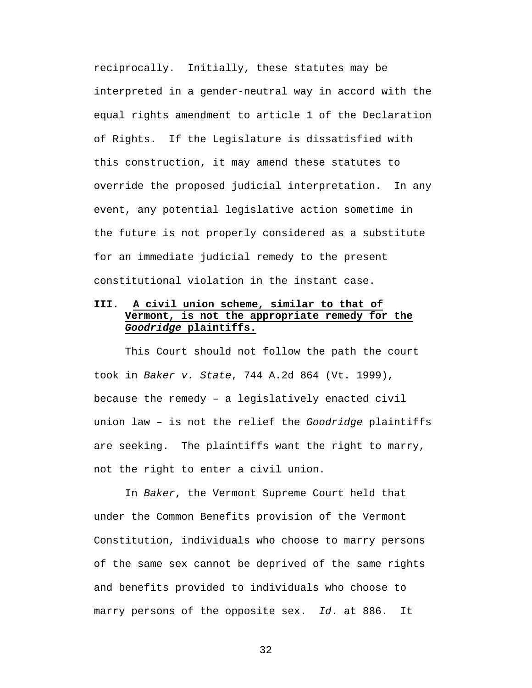reciprocally. Initially, these statutes may be interpreted in a gender-neutral way in accord with the equal rights amendment to article 1 of the Declaration of Rights. If the Legislature is dissatisfied with this construction, it may amend these statutes to override the proposed judicial interpretation. In any event, any potential legislative action sometime in the future is not properly considered as a substitute for an immediate judicial remedy to the present constitutional violation in the instant case.

### **III. A civil union scheme, similar to that of Vermont, is not the appropriate remedy for the**  *Goodridge* **plaintiffs.**

This Court should not follow the path the court took in *Baker v. State*, 744 A.2d 864 (Vt. 1999), because the remedy – a legislatively enacted civil union law – is not the relief the *Goodridge* plaintiffs are seeking. The plaintiffs want the right to marry, not the right to enter a civil union.

In *Baker*, the Vermont Supreme Court held that under the Common Benefits provision of the Vermont Constitution, individuals who choose to marry persons of the same sex cannot be deprived of the same rights and benefits provided to individuals who choose to marry persons of the opposite sex. *Id*. at 886. It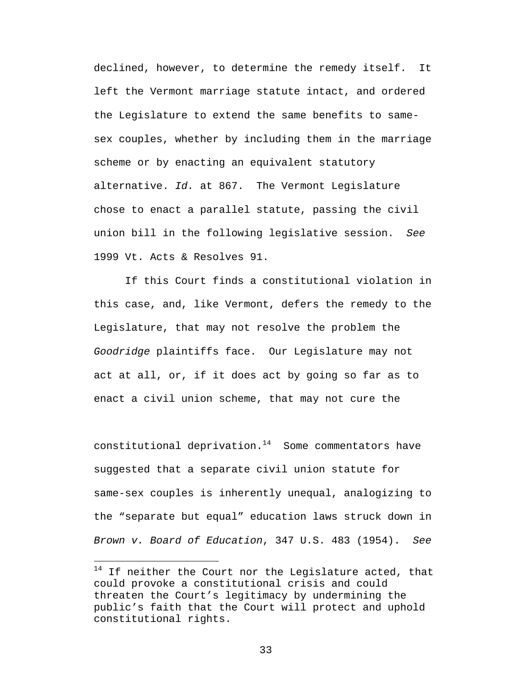declined, however, to determine the remedy itself. It left the Vermont marriage statute intact, and ordered the Legislature to extend the same benefits to samesex couples, whether by including them in the marriage scheme or by enacting an equivalent statutory alternative. *Id.* at 867. The Vermont Legislature chose to enact a parallel statute, passing the civil union bill in the following legislative session. *See* 1999 Vt. Acts & Resolves 91.

If this Court finds a constitutional violation in this case, and, like Vermont, defers the remedy to the Legislature, that may not resolve the problem the *Goodridge* plaintiffs face. Our Legislature may not act at all, or, if it does act by going so far as to enact a civil union scheme, that may not cure the

constitutional deprivation. $14$  Some commentators have suggested that a separate civil union statute for same-sex couples is inherently unequal, analogizing to the "separate but equal" education laws struck down in *Brown v. Board of Education*, 347 U.S. 483 (1954). *See*

 $\overline{a}$ 

 $14$  If neither the Court nor the Legislature acted, that could provoke a constitutional crisis and could threaten the Court's legitimacy by undermining the public's faith that the Court will protect and uphold constitutional rights.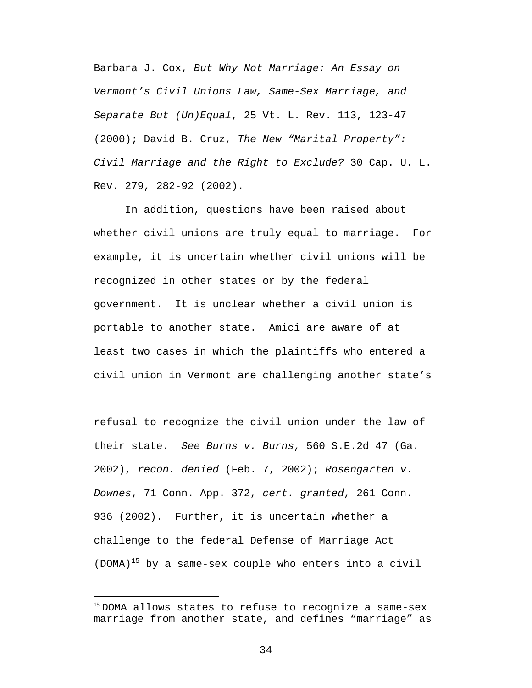Barbara J. Cox, *But Why Not Marriage: An Essay on Vermont's Civil Unions Law, Same-Sex Marriage, and Separate But (Un)Equal*, 25 Vt. L. Rev. 113, 123-47 (2000); David B. Cruz, *The New "Marital Property": Civil Marriage and the Right to Exclude?* 30 Cap. U. L. Rev. 279, 282-92 (2002).

In addition, questions have been raised about whether civil unions are truly equal to marriage. For example, it is uncertain whether civil unions will be recognized in other states or by the federal government. It is unclear whether a civil union is portable to another state. Amici are aware of at least two cases in which the plaintiffs who entered a civil union in Vermont are challenging another state's

refusal to recognize the civil union under the law of their state. *See Burns v. Burns*, 560 S.E.2d 47 (Ga. 2002), *recon. denied* (Feb. 7, 2002); *Rosengarten v. Downes*, 71 Conn. App. 372, *cert. granted*, 261 Conn. 936 (2002). Further, it is uncertain whether a challenge to the federal Defense of Marriage Act  $(DOMA)^{15}$  by a same-sex couple who enters into a civil

 $\overline{a}$ 

<sup>&</sup>lt;sup>15</sup> DOMA allows states to refuse to recognize a same-sex marriage from another state, and defines "marriage" as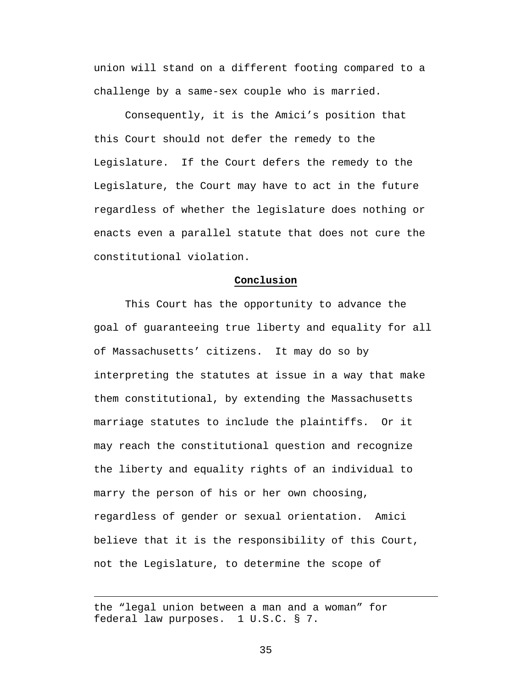union will stand on a different footing compared to a challenge by a same-sex couple who is married.

Consequently, it is the Amici's position that this Court should not defer the remedy to the Legislature. If the Court defers the remedy to the Legislature, the Court may have to act in the future regardless of whether the legislature does nothing or enacts even a parallel statute that does not cure the constitutional violation.

#### **Conclusion**

This Court has the opportunity to advance the goal of guaranteeing true liberty and equality for all of Massachusetts' citizens. It may do so by interpreting the statutes at issue in a way that make them constitutional, by extending the Massachusetts marriage statutes to include the plaintiffs. Or it may reach the constitutional question and recognize the liberty and equality rights of an individual to marry the person of his or her own choosing, regardless of gender or sexual orientation. Amici believe that it is the responsibility of this Court, not the Legislature, to determine the scope of

the "legal union between a man and a woman" for federal law purposes. 1 U.S.C. § 7.

 $\overline{a}$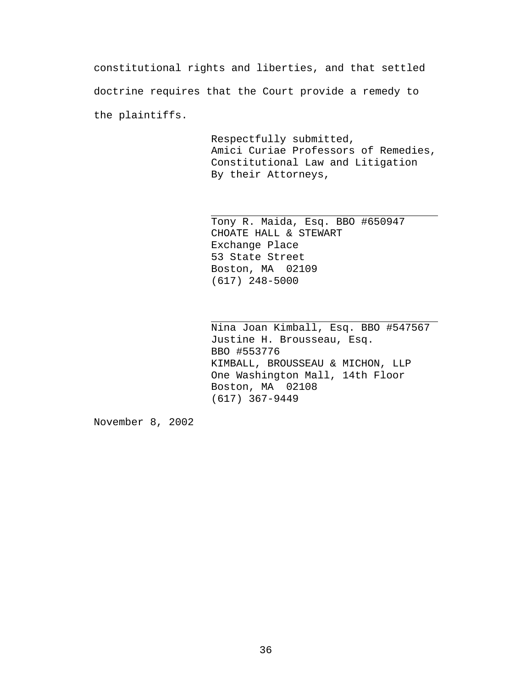constitutional rights and liberties, and that settled doctrine requires that the Court provide a remedy to the plaintiffs.

> Respectfully submitted, Amici Curiae Professors of Remedies, Constitutional Law and Litigation By their Attorneys,

Tony R. Maida, Esq. BBO #650947 CHOATE HALL & STEWART Exchange Place 53 State Street Boston, MA 02109 (617) 248-5000

Nina Joan Kimball, Esq. BBO #547567 Justine H. Brousseau, Esq. BBO #553776 KIMBALL, BROUSSEAU & MICHON, LLP One Washington Mall, 14th Floor Boston, MA 02108 (617) 367-9449

November 8, 2002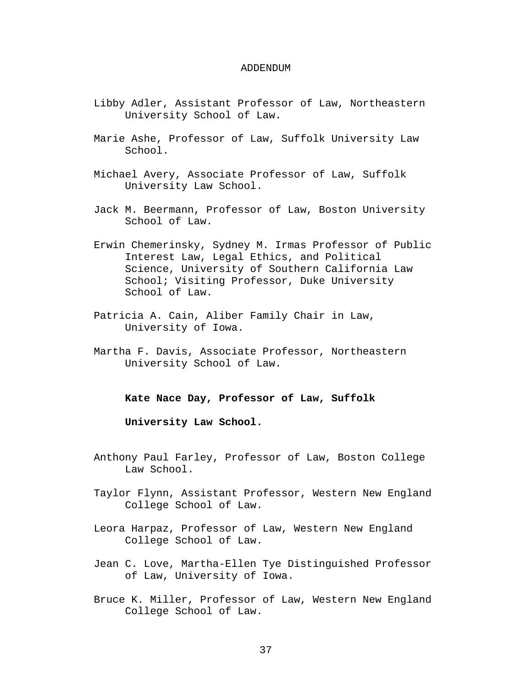#### ADDENDUM

- Libby Adler, Assistant Professor of Law, Northeastern University School of Law.
- Marie Ashe, Professor of Law, Suffolk University Law School.
- Michael Avery, Associate Professor of Law, Suffolk University Law School.
- Jack M. Beermann, Professor of Law, Boston University School of Law.
- Erwin Chemerinsky, Sydney M. Irmas Professor of Public Interest Law, Legal Ethics, and Political Science, University of Southern California Law School; Visiting Professor, Duke University School of Law.
- Patricia A. Cain, Aliber Family Chair in Law, University of Iowa.
- Martha F. Davis, Associate Professor, Northeastern University School of Law.

**Kate Nace Day, Professor of Law, Suffolk** 

**University Law School.**

- Anthony Paul Farley, Professor of Law, Boston College Law School.
- Taylor Flynn, Assistant Professor, Western New England College School of Law.
- Leora Harpaz, Professor of Law, Western New England College School of Law.
- Jean C. Love, Martha-Ellen Tye Distinguished Professor of Law, University of Iowa.
- Bruce K. Miller, Professor of Law, Western New England College School of Law.